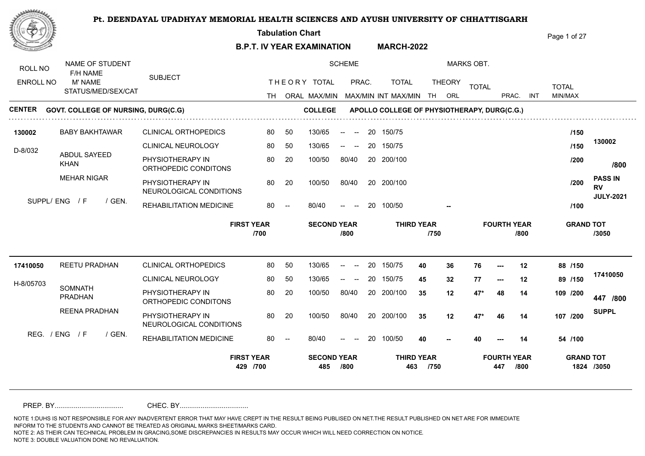**Tabulation Chart**  Page 1 of 27 **B.P.T. IV YEAR EXAMINATION MARCH-2022** NAME OF STUDENT SCHEME MARKS OBT. ROLL NO F/H NAME SUBJECT THE ORY TOTAL PRAC. TOTAL ENROLL NO M' NAME TOTAL THEORY <sub>TOTAL</sub> TOTAL TOTAL STATUS/MED/SEX/CAT TH ORAL MAX/MIN MAX/MIN MAX/MIN INT MAX/MIN TH ORL PRAC. INT INT MIN/MAX **CENTER** GOVT. COLLEGE OF NURSING, DURG(C.G) **COLLEGE APOLLO COLLEGE OF PHYSIOTHERAPY, DURG(C.G.) 130002** CLINICAL ORTHOPEDICS BABY BAKHTAWAR 80 20 150/75 50 130/65 -- -- **/150 130002** CLINICAL NEUROLOGY 80 50  $130/65$  -- --20 150/75 130/65 -- -- **/150** D-8/032 ABDUL SAYEED PHYSIOTHERAPY IN 80 20 100/50 80/40 **/200** 20 200/100 100/50 80/40 KHAN **/800** ORTHOPEDIC CONDITONS MEHAR NIGAR **PASS IN**  PHYSIOTHERAPY IN 20 20 100/50 80/40 100/50 **/200** 100/50 80/40 **RV**  NEUROLOGICAL CONDITIONS **JULY-2021** SUPPL/ ENG / F / GEN. REHABILITATION MEDICINE  $80/40$ **/100** 80/40 -- -- 20 100/50 **-- FIRST YEAR SECOND YEAR THIRD YEAR FOURTH YEAR GRAND TOT /700 /800 /750 /800 /3050**

CLINICAL ORTHOPEDICS REETU PRADHAN CLINICAL NEUROLOGY 80 50 PHYSIOTHERAPY IN ORTHOPEDIC CONDITONS 80 50 130/65 -- -- 20 150/75 4**0 36** 1 130/65 -- -- 20 150/75 45 32 7 100/50 80/40 20 200/100 35 12 47 **/800 /200 447** PHYSIOTHERAPY IN 20 20 20 200/100 20 200/100 20 20 20 47\* NEUROLOGICAL CONDITIONS REHABILITATION MEDICINE 80 - $130/65$  -- --80 20 100/50 80/40 100/50  $80/40$ 80/40 -- -- 20 100/50 100/50 80/40 20 200/100 35 **/150 40 36 76 --- 12 88 /150 45 32 77 --- 12 89 /200 35 12 47\* 46 14 107 /100** H-8/05703 **SOMNATH** PRADHAN REENA PRADHAN  $RFG$  /  $FNG$  /  $F$  /  $GFN$ **35 12 47\* 48 14 109 40 40 --- 14 54 SUPPL -- 17410050 17410050 429 /700 485 /800 463 /750 447 /800 1824 /3050 FIRST YEAR SECOND YEAR THIRD YEAR FOURTH YEAR GRAND TOT** 

PREP. BY.................................... CHEC. BY....................................

NOTE 1:DUHS IS NOT RESPONSIBLE FOR ANY INADVERTENT ERROR THAT MAY HAVE CREPT IN THE RESULT BEING PUBLISED ON NET.THE RESULT PUBLISHED ON NET ARE FOR IMMEDIATE INFORM TO THE STUDENTS AND CANNOT BE TREATED AS ORIGINAL MARKS SHEET/MARKS CARD.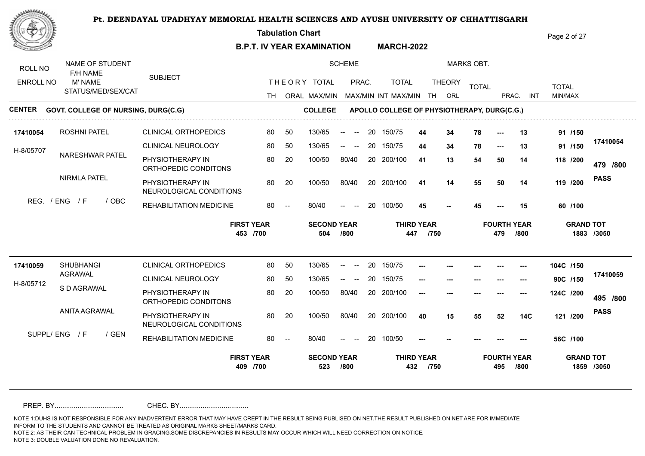**Tabulation Chart** 

**B.P.T. IV YEAR EXAMINATION MARCH-2022** Page 2 of 27

| ROLL NO          | NAME OF STUDENT<br>F/H NAME                |                                             |    |                          |                           | <b>SCHEME</b>                                  |    |                                             |                           |               | <b>MARKS OBT.</b> |                           |            |              |                                |
|------------------|--------------------------------------------|---------------------------------------------|----|--------------------------|---------------------------|------------------------------------------------|----|---------------------------------------------|---------------------------|---------------|-------------------|---------------------------|------------|--------------|--------------------------------|
| <b>ENROLL NO</b> | M' NAME                                    | <b>SUBJECT</b>                              |    |                          | THEORY TOTAL              | PRAC.                                          |    | <b>TOTAL</b>                                |                           | <b>THEORY</b> | <b>TOTAL</b>      |                           |            | <b>TOTAL</b> |                                |
|                  | STATUS/MED/SEX/CAT                         |                                             |    |                          |                           |                                                |    | TH ORAL MAX/MIN MAX/MIN INT MAX/MIN         | TH.                       | ORL           |                   | PRAC.                     | <b>INT</b> | MIN/MAX      |                                |
| <b>CENTER</b>    | <b>GOVT. COLLEGE OF NURSING, DURG(C.G)</b> |                                             |    |                          | <b>COLLEGE</b>            |                                                |    | APOLLO COLLEGE OF PHYSIOTHERAPY, DURG(C.G.) |                           |               |                   |                           |            |              |                                |
| 17410054         | <b>ROSHNI PATEL</b>                        | <b>CLINICAL ORTHOPEDICS</b>                 | 80 | 50                       | 130/65                    | $\overline{\phantom{a}}$<br>$\sim$             | 20 | 150/75                                      | 44                        | 34            | 78                | $---$                     | 13         | 91 /150      |                                |
| H-8/05707        |                                            | <b>CLINICAL NEUROLOGY</b>                   | 80 | 50                       | 130/65                    | $-$<br>$\sim$                                  | 20 | 150/75                                      | 44                        | 34            | 78                | ---                       | 13         | 91 /150      | 17410054                       |
|                  | NARESHWAR PATEL                            | PHYSIOTHERAPY IN<br>ORTHOPEDIC CONDITONS    | 80 | 20                       | 100/50                    | 80/40                                          | 20 | 200/100                                     | 41                        | 13            | 54                | 50                        | 14         | 118 /200     | 479 /800                       |
|                  | <b>NIRMLA PATEL</b>                        | PHYSIOTHERAPY IN<br>NEUROLOGICAL CONDITIONS | 80 | 20                       | 100/50                    | 80/40                                          |    | 20 200/100                                  | 41                        | 14            | 55                | 50                        | 14         | 119 /200     | <b>PASS</b>                    |
|                  | REG. / ENG<br>/ F<br>/ OBC                 | REHABILITATION MEDICINE                     | 80 | $\overline{\phantom{a}}$ | 80/40                     | $--$                                           | 20 | 100/50                                      | 45                        |               | 45                |                           | 15         | 60 /100      |                                |
|                  |                                            |                                             |    |                          |                           |                                                |    |                                             |                           |               |                   |                           |            |              |                                |
|                  |                                            | <b>FIRST YEAR</b><br>453 /700               |    |                          | <b>SECOND YEAR</b><br>504 | /800                                           |    | 447                                         | <b>THIRD YEAR</b><br>/750 |               |                   | <b>FOURTH YEAR</b><br>479 | /800       |              | <b>GRAND TOT</b><br>1883 /3050 |
| 17410059         | <b>SHUBHANGI</b>                           | <b>CLINICAL ORTHOPEDICS</b>                 | 80 | 50                       | 130/65                    | --<br>$\overline{\phantom{a}}$                 | 20 | 150/75                                      |                           |               |                   |                           |            | 104C /150    |                                |
|                  | AGRAWAL                                    | <b>CLINICAL NEUROLOGY</b>                   | 80 | 50                       | 130/65                    |                                                | 20 | 150/75                                      | $---$                     |               |                   |                           |            | 90C /150     | 17410059                       |
| H-8/05712        | S D AGRAWAL                                | PHYSIOTHERAPY IN<br>ORTHOPEDIC CONDITONS    | 80 | 20                       | 100/50                    | 80/40                                          |    | 20 200/100                                  | $---$                     |               |                   |                           |            | 124C /200    | 495 /800                       |
|                  | <b>ANITA AGRAWAL</b>                       | PHYSIOTHERAPY IN<br>NEUROLOGICAL CONDITIONS | 80 | 20                       | 100/50                    | 80/40                                          |    | 20 200/100                                  | 40                        | 15            | 55                | 52                        | <b>14C</b> | 121 /200     | <b>PASS</b>                    |
|                  | SUPPL/ENG / F<br>/ GEN                     | REHABILITATION MEDICINE                     | 80 |                          | 80/40                     | $\hspace{0.1mm}-\hspace{0.1mm}-\hspace{0.1mm}$ | 20 | 100/50                                      |                           |               |                   |                           |            | 56C /100     |                                |

PREP. BY.................................... CHEC. BY....................................

NOTE 1:DUHS IS NOT RESPONSIBLE FOR ANY INADVERTENT ERROR THAT MAY HAVE CREPT IN THE RESULT BEING PUBLISED ON NET.THE RESULT PUBLISHED ON NET ARE FOR IMMEDIATE INFORM TO THE STUDENTS AND CANNOT BE TREATED AS ORIGINAL MARKS SHEET/MARKS CARD.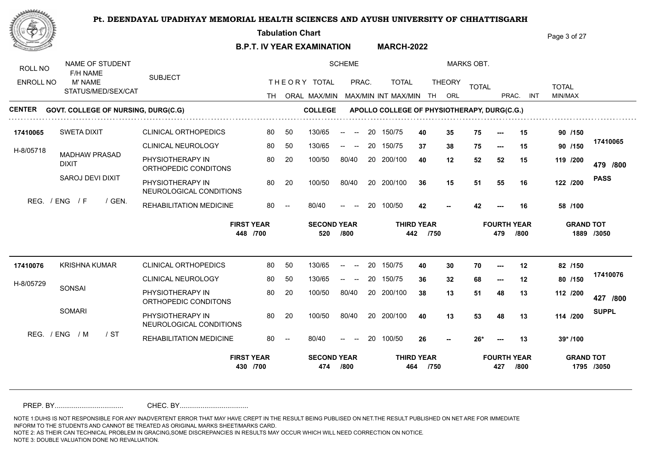**Tabulation Chart** 

**B.P.T. IV YEAR EXAMINATION MARCH-2022** Page 3 of 27

| ROLL NO          | NAME OF STUDENT<br>F/H NAME                |        |                                             |    |                          |                           | <b>SCHEME</b>                                          |    |                                             |                           |               | <b>MARKS OBT.</b> |                           |            |                  |              |
|------------------|--------------------------------------------|--------|---------------------------------------------|----|--------------------------|---------------------------|--------------------------------------------------------|----|---------------------------------------------|---------------------------|---------------|-------------------|---------------------------|------------|------------------|--------------|
| <b>ENROLL NO</b> | M' NAME                                    |        | <b>SUBJECT</b>                              |    |                          | THEORY TOTAL              | PRAC.                                                  |    | <b>TOTAL</b>                                |                           | <b>THEORY</b> | <b>TOTAL</b>      |                           |            | <b>TOTAL</b>     |              |
|                  | STATUS/MED/SEX/CAT                         |        |                                             |    |                          |                           |                                                        |    | TH ORAL MAX/MIN MAX/MIN INT MAX/MIN         | TH.                       | ORL           |                   | PRAC.                     | <b>INT</b> | MIN/MAX          |              |
| <b>CENTER</b>    | <b>GOVT. COLLEGE OF NURSING, DURG(C.G)</b> |        |                                             |    |                          | <b>COLLEGE</b>            |                                                        |    | APOLLO COLLEGE OF PHYSIOTHERAPY, DURG(C.G.) |                           |               |                   |                           |            |                  |              |
| 17410065         | <b>SWETA DIXIT</b>                         |        | <b>CLINICAL ORTHOPEDICS</b>                 | 80 | 50                       | 130/65                    | $\overline{\phantom{a}}$<br>$\overline{\phantom{a}}$   | 20 | 150/75                                      | 40                        | 35            | 75                | $---$                     | 15         | 90 /150          |              |
| H-8/05718        |                                            |        | <b>CLINICAL NEUROLOGY</b>                   | 80 | 50                       | 130/65                    | $\hspace{0.1mm}-\hspace{0.1mm}-\hspace{0.1mm}$<br>$--$ | 20 | 150/75                                      | 37                        | 38            | 75                | ---                       | 15         | 90 /150          | 17410065     |
|                  | <b>MADHAW PRASAD</b><br><b>DIXIT</b>       |        | PHYSIOTHERAPY IN<br>ORTHOPEDIC CONDITONS    | 80 | 20                       | 100/50                    | 80/40                                                  | 20 | 200/100                                     | 40                        | 12            | 52                | 52                        | 15         | 119 /200         | 479 /800     |
|                  | SAROJ DEVI DIXIT                           |        | PHYSIOTHERAPY IN<br>NEUROLOGICAL CONDITIONS | 80 | 20                       | 100/50                    | 80/40                                                  |    | 20 200/100                                  | 36                        | 15            | 51                | 55                        | 16         | 122 /200         | <b>PASS</b>  |
|                  | REG. / ENG<br>/ F                          | / GEN. | REHABILITATION MEDICINE                     | 80 | $\overline{\phantom{a}}$ | 80/40                     | $\hspace{0.1mm}-\hspace{0.1mm}-\hspace{0.1mm}$         | 20 | 100/50                                      | 42                        |               | 42                |                           | 16         | 58 /100          |              |
|                  |                                            |        |                                             |    |                          |                           |                                                        |    |                                             |                           |               |                   |                           |            |                  |              |
|                  |                                            |        | <b>FIRST YEAR</b><br>448 /700               |    |                          | <b>SECOND YEAR</b><br>520 | /800                                                   |    | 442                                         | <b>THIRD YEAR</b><br>/750 |               |                   | <b>FOURTH YEAR</b><br>479 | /800       | <b>GRAND TOT</b> | 1889 /3050   |
| 17410076         | <b>KRISHNA KUMAR</b>                       |        | <b>CLINICAL ORTHOPEDICS</b>                 | 80 | 50                       | 130/65                    | $\sim$<br>--                                           | 20 | 150/75                                      | 40                        | 30            | 70                | ---                       | 12         | 82 /150          |              |
|                  |                                            |        | <b>CLINICAL NEUROLOGY</b>                   | 80 | 50                       | 130/65                    |                                                        | 20 | 150/75                                      | 36                        | 32            | 68                | $---$                     | 12         | 80 /150          | 17410076     |
| H-8/05729        | SONSAI                                     |        | PHYSIOTHERAPY IN<br>ORTHOPEDIC CONDITONS    | 80 | 20                       | 100/50                    | 80/40                                                  |    | 20 200/100                                  | 38                        | 13            | 51                | 48                        | 13         | 112 /200         | 427 /800     |
|                  | <b>SOMARI</b>                              |        | PHYSIOTHERAPY IN<br>NEUROLOGICAL CONDITIONS | 80 | 20                       | 100/50                    | 80/40                                                  |    | 20 200/100                                  | 40                        | 13            | 53                | 48                        | 13         | 114 /200         | <b>SUPPL</b> |
|                  | REG. / ENG / M                             | / ST   | REHABILITATION MEDICINE                     | 80 | $\overline{\phantom{a}}$ | 80/40                     | $\hspace{0.1mm}-\hspace{0.1mm}-\hspace{0.1mm}$         | 20 | 100/50                                      | 26                        |               | $26*$             | $--$                      | 13         | 39* /100         |              |

PREP. BY.................................... CHEC. BY....................................

NOTE 1:DUHS IS NOT RESPONSIBLE FOR ANY INADVERTENT ERROR THAT MAY HAVE CREPT IN THE RESULT BEING PUBLISED ON NET.THE RESULT PUBLISHED ON NET ARE FOR IMMEDIATE INFORM TO THE STUDENTS AND CANNOT BE TREATED AS ORIGINAL MARKS SHEET/MARKS CARD.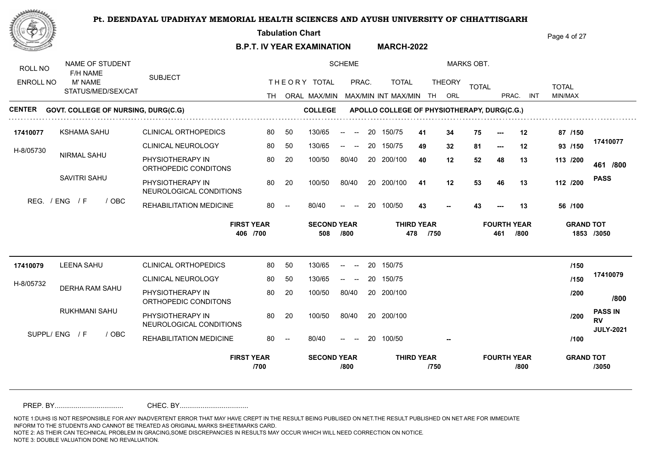**Tabulation Chart** 

**B.P.T. IV YEAR EXAMINATION MARCH-2022** Page 4 of 27

| <b>TOTAL</b><br><b>TOTAL</b><br>STATUS/MED/SEX/CAT<br>MIN/MAX<br>TH ORAL MAX/MIN MAX/MIN INT MAX/MIN TH<br>PRAC.<br>INT<br>ORL<br><b>CENTER</b><br><b>GOVT. COLLEGE OF NURSING, DURG(C.G)</b><br><b>COLLEGE</b><br>APOLLO COLLEGE OF PHYSIOTHERAPY, DURG(C.G.)<br><b>KSHAMA SAHU</b><br><b>CLINICAL ORTHOPEDICS</b><br>130/65<br>75<br>80<br>50<br>20<br>150/75<br>34<br>87 /150<br>17410077<br>-41<br>12<br>$\hspace{0.1mm}-\hspace{0.1mm}-\hspace{0.1mm}$<br>$\overline{\phantom{a}}$<br>17410077<br><b>CLINICAL NEUROLOGY</b><br>20<br>81<br>93 /150<br>80<br>50<br>130/65<br>150/75<br>49<br>32<br>12<br>$- -$<br>$\hspace{0.1mm}-\hspace{0.1mm}-\hspace{0.1mm}$<br>$\hspace{0.05cm} \ldots$<br>H-8/05730<br>NIRMAL SAHU<br>PHYSIOTHERAPY IN<br>80<br>20<br>100/50<br>80/40<br>20 200/100<br>40<br>12<br>52<br>48<br>13<br>113 /200<br>461 /800<br>ORTHOPEDIC CONDITONS<br>SAVITRI SAHU<br><b>PASS</b><br>PHYSIOTHERAPY IN<br>20 200/100<br>80<br>20<br>100/50<br>80/40<br>53<br>112 /200<br>41<br>12<br>46<br>13<br>NEUROLOGICAL CONDITIONS<br>REG. / ENG / F<br>/ OBC<br>REHABILITATION MEDICINE<br>20<br>100/50<br>80<br>80/40<br>43<br>43<br>56 /100<br>13<br>$\overline{\phantom{a}}$<br>$\hspace{0.1mm}-\hspace{0.1mm}-\hspace{0.1mm}$<br><b>FIRST YEAR</b><br><b>THIRD YEAR</b><br><b>SECOND YEAR</b><br><b>FOURTH YEAR</b><br><b>GRAND TOT</b><br>406 /700<br>/800<br>478<br>/750<br>/800<br>1853 /3050<br>508<br>461<br><b>LEENA SAHU</b><br><b>CLINICAL ORTHOPEDICS</b><br>/150<br>17410079<br>80<br>50<br>130/65<br>20<br>150/75<br>$\sim$<br>17410079<br>CLINICAL NEUROLOGY<br>/150<br>80<br>50<br>130/65<br>20<br>150/75<br>$\hspace{0.1mm}-\hspace{0.1mm}-\hspace{0.1mm}$<br>$\overline{\phantom{a}}$<br>H-8/05732<br>DERHA RAM SAHU<br>PHYSIOTHERAPY IN<br>80<br>20<br>100/50<br>80/40<br>20 200/100<br>/200<br>/800<br>ORTHOPEDIC CONDITONS<br>RUKHMANI SAHU<br><b>PASS IN</b><br>PHYSIOTHERAPY IN<br>100/50<br>80/40<br>20 200/100<br>80<br>20<br>/200<br><b>RV</b><br>NEUROLOGICAL CONDITIONS<br><b>JULY-2021</b><br>SUPPL/ENG / F<br>/ OBC<br>REHABILITATION MEDICINE<br>80<br>80/40<br>20<br>100/50<br>/100<br>$ -$<br><b>FIRST YEAR</b><br><b>THIRD YEAR</b><br><b>FOURTH YEAR</b><br><b>SECOND YEAR</b><br><b>GRAND TOT</b><br>/800<br>/750<br>/800<br>/3050<br>/700 | ROLL NO<br><b>ENROLL NO</b> | NAME OF STUDENT<br>F/H NAME<br>M' NAME | <b>SUBJECT</b> |  | THEORY TOTAL | <b>SCHEME</b><br>PRAC. | <b>TOTAL</b> | <b>THEORY</b> | <b>MARKS OBT.</b> |  |  |
|------------------------------------------------------------------------------------------------------------------------------------------------------------------------------------------------------------------------------------------------------------------------------------------------------------------------------------------------------------------------------------------------------------------------------------------------------------------------------------------------------------------------------------------------------------------------------------------------------------------------------------------------------------------------------------------------------------------------------------------------------------------------------------------------------------------------------------------------------------------------------------------------------------------------------------------------------------------------------------------------------------------------------------------------------------------------------------------------------------------------------------------------------------------------------------------------------------------------------------------------------------------------------------------------------------------------------------------------------------------------------------------------------------------------------------------------------------------------------------------------------------------------------------------------------------------------------------------------------------------------------------------------------------------------------------------------------------------------------------------------------------------------------------------------------------------------------------------------------------------------------------------------------------------------------------------------------------------------------------------------------------------------------------------------------------------------------------------------------------------------------------------------------------------------------------------------------------------------------------------------------------------------------------------------|-----------------------------|----------------------------------------|----------------|--|--------------|------------------------|--------------|---------------|-------------------|--|--|
|                                                                                                                                                                                                                                                                                                                                                                                                                                                                                                                                                                                                                                                                                                                                                                                                                                                                                                                                                                                                                                                                                                                                                                                                                                                                                                                                                                                                                                                                                                                                                                                                                                                                                                                                                                                                                                                                                                                                                                                                                                                                                                                                                                                                                                                                                                |                             |                                        |                |  |              |                        |              |               |                   |  |  |
|                                                                                                                                                                                                                                                                                                                                                                                                                                                                                                                                                                                                                                                                                                                                                                                                                                                                                                                                                                                                                                                                                                                                                                                                                                                                                                                                                                                                                                                                                                                                                                                                                                                                                                                                                                                                                                                                                                                                                                                                                                                                                                                                                                                                                                                                                                |                             |                                        |                |  |              |                        |              |               |                   |  |  |
|                                                                                                                                                                                                                                                                                                                                                                                                                                                                                                                                                                                                                                                                                                                                                                                                                                                                                                                                                                                                                                                                                                                                                                                                                                                                                                                                                                                                                                                                                                                                                                                                                                                                                                                                                                                                                                                                                                                                                                                                                                                                                                                                                                                                                                                                                                |                             |                                        |                |  |              |                        |              |               |                   |  |  |
|                                                                                                                                                                                                                                                                                                                                                                                                                                                                                                                                                                                                                                                                                                                                                                                                                                                                                                                                                                                                                                                                                                                                                                                                                                                                                                                                                                                                                                                                                                                                                                                                                                                                                                                                                                                                                                                                                                                                                                                                                                                                                                                                                                                                                                                                                                |                             |                                        |                |  |              |                        |              |               |                   |  |  |
|                                                                                                                                                                                                                                                                                                                                                                                                                                                                                                                                                                                                                                                                                                                                                                                                                                                                                                                                                                                                                                                                                                                                                                                                                                                                                                                                                                                                                                                                                                                                                                                                                                                                                                                                                                                                                                                                                                                                                                                                                                                                                                                                                                                                                                                                                                |                             |                                        |                |  |              |                        |              |               |                   |  |  |
|                                                                                                                                                                                                                                                                                                                                                                                                                                                                                                                                                                                                                                                                                                                                                                                                                                                                                                                                                                                                                                                                                                                                                                                                                                                                                                                                                                                                                                                                                                                                                                                                                                                                                                                                                                                                                                                                                                                                                                                                                                                                                                                                                                                                                                                                                                |                             |                                        |                |  |              |                        |              |               |                   |  |  |
|                                                                                                                                                                                                                                                                                                                                                                                                                                                                                                                                                                                                                                                                                                                                                                                                                                                                                                                                                                                                                                                                                                                                                                                                                                                                                                                                                                                                                                                                                                                                                                                                                                                                                                                                                                                                                                                                                                                                                                                                                                                                                                                                                                                                                                                                                                |                             |                                        |                |  |              |                        |              |               |                   |  |  |
|                                                                                                                                                                                                                                                                                                                                                                                                                                                                                                                                                                                                                                                                                                                                                                                                                                                                                                                                                                                                                                                                                                                                                                                                                                                                                                                                                                                                                                                                                                                                                                                                                                                                                                                                                                                                                                                                                                                                                                                                                                                                                                                                                                                                                                                                                                |                             |                                        |                |  |              |                        |              |               |                   |  |  |
|                                                                                                                                                                                                                                                                                                                                                                                                                                                                                                                                                                                                                                                                                                                                                                                                                                                                                                                                                                                                                                                                                                                                                                                                                                                                                                                                                                                                                                                                                                                                                                                                                                                                                                                                                                                                                                                                                                                                                                                                                                                                                                                                                                                                                                                                                                |                             |                                        |                |  |              |                        |              |               |                   |  |  |
|                                                                                                                                                                                                                                                                                                                                                                                                                                                                                                                                                                                                                                                                                                                                                                                                                                                                                                                                                                                                                                                                                                                                                                                                                                                                                                                                                                                                                                                                                                                                                                                                                                                                                                                                                                                                                                                                                                                                                                                                                                                                                                                                                                                                                                                                                                |                             |                                        |                |  |              |                        |              |               |                   |  |  |
|                                                                                                                                                                                                                                                                                                                                                                                                                                                                                                                                                                                                                                                                                                                                                                                                                                                                                                                                                                                                                                                                                                                                                                                                                                                                                                                                                                                                                                                                                                                                                                                                                                                                                                                                                                                                                                                                                                                                                                                                                                                                                                                                                                                                                                                                                                |                             |                                        |                |  |              |                        |              |               |                   |  |  |
|                                                                                                                                                                                                                                                                                                                                                                                                                                                                                                                                                                                                                                                                                                                                                                                                                                                                                                                                                                                                                                                                                                                                                                                                                                                                                                                                                                                                                                                                                                                                                                                                                                                                                                                                                                                                                                                                                                                                                                                                                                                                                                                                                                                                                                                                                                |                             |                                        |                |  |              |                        |              |               |                   |  |  |
|                                                                                                                                                                                                                                                                                                                                                                                                                                                                                                                                                                                                                                                                                                                                                                                                                                                                                                                                                                                                                                                                                                                                                                                                                                                                                                                                                                                                                                                                                                                                                                                                                                                                                                                                                                                                                                                                                                                                                                                                                                                                                                                                                                                                                                                                                                |                             |                                        |                |  |              |                        |              |               |                   |  |  |
|                                                                                                                                                                                                                                                                                                                                                                                                                                                                                                                                                                                                                                                                                                                                                                                                                                                                                                                                                                                                                                                                                                                                                                                                                                                                                                                                                                                                                                                                                                                                                                                                                                                                                                                                                                                                                                                                                                                                                                                                                                                                                                                                                                                                                                                                                                |                             |                                        |                |  |              |                        |              |               |                   |  |  |

PREP. BY.................................... CHEC. BY....................................

NOTE 1:DUHS IS NOT RESPONSIBLE FOR ANY INADVERTENT ERROR THAT MAY HAVE CREPT IN THE RESULT BEING PUBLISED ON NET.THE RESULT PUBLISHED ON NET ARE FOR IMMEDIATE INFORM TO THE STUDENTS AND CANNOT BE TREATED AS ORIGINAL MARKS SHEET/MARKS CARD.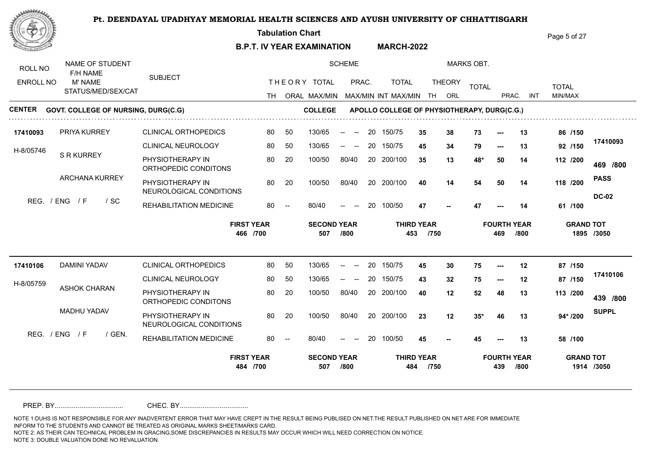**Tabulation Chart** 

**B.P.T. IV YEAR EXAMINATION MARCH-2022** Page 5 of 27

NAME OF STUDENT SCHEME MARKS OBT. ROLL NO F/H NAME SUBJECT THE ORY TOTAL PRAC. TOTAL ENROLL NO M' NAME TOTAL THEORY <sub>TOTAL</sub> TOTAL TOTAL STATUS/MED/SEX/CAT TH ORAL MAX/MIN MAX/MIN MAX/MIN INT MAX/MIN TH ORL PRAC. INT INT MIN/MAX **CENTER** GOVT. COLLEGE OF NURSING, DURG(C.G) **COLLEGE APOLLO COLLEGE OF PHYSIOTHERAPY, DURG(C.G.) 17410093** 150/75 CLINICAL ORTHOPEDICS PRIYA KURREY 80 50 130/65 -- -- 20 150/75 3**5 38** 1 50 130/65 **35 38 73 --- 13 86 /150 17410093** CLINICAL NEUROLOGY 80 50 80 50 130/65 -- -- 20 150/75 **45 34** 1 **/150 45 34 79 --- 13 92** H-8/05746 S R KURREY PHYSIOTHERAPY IN 80 20 100/50 80/40 **35 13 48\* 50 14 112** 100/50 80/40 20 200/100 35 13 48 **/800 /200 469** ORTHOPEDIC CONDITONS ARCHANA KURREY **PASS** PHYSIOTHERAPY IN 30 20 100/50 80/40 20 200/100 40 14 54 100/50 100/50 80/40 **/200 40 14 54 50 14 118** NEUROLOGICAL CONDITIONS **DC-02** REG. / ENG / F / SC REHABILITATION MEDICINE 80/40  $47$ 80/40 -- -- 20 100/50 **/100 47 47 --- 14 61 FIRST YEAR SECOND YEAR THIRD YEAR FOURTH YEAR GRAND TOT 466 /700 507 /800 453 /750 469 /800 1895 /3050 17410106** CLINICAL ORTHOPEDICS DAMINI YADAV 80 50 130/65 -- -- 20 150/75 4**5 30** 1 **/150 45 30 75 --- 12 87 17410106** CLINICAL NEUROLOGY 80 50  $130/65$  -- --130/65 -- -- 20 150/75 43 32 7 **/150 43 32 75 --- 12 87** H-8/05759 ASHOK CHARAN PHYSIOTHERAPY IN 80 20 100/50 80/40 100/50 80/40 20 200/100 40 12 52 **40 12 52 48 13 113 /800 /200 439** ORTHOPEDIC CONDITONS MADHU YADAV **SUPPL** PHYSIOTHERAPY IN 20 20 20 200/100 20 200/100 20 21 21 25\* 100/50 **/200** 100/50 80/40 20 200/100 23 **23 12 35\* 46 13 94\*** NEUROLOGICAL CONDITIONS  $RFG$  /  $FNG$  /  $F$  /  $GFN$ REHABILITATION MEDICINE 80 - $80/40$ 80/40 -- -- 20 100/50 **45 45 --- 13 58 45 /100 FIRST YEAR SECOND YEAR THIRD YEAR FOURTH YEAR GRAND TOT 484 /700 507 /800 484 /750 439 /800 1914 /3050**

PREP. BY.................................... CHEC. BY....................................

NOTE 1:DUHS IS NOT RESPONSIBLE FOR ANY INADVERTENT ERROR THAT MAY HAVE CREPT IN THE RESULT BEING PUBLISED ON NET.THE RESULT PUBLISHED ON NET ARE FOR IMMEDIATE INFORM TO THE STUDENTS AND CANNOT BE TREATED AS ORIGINAL MARKS SHEET/MARKS CARD.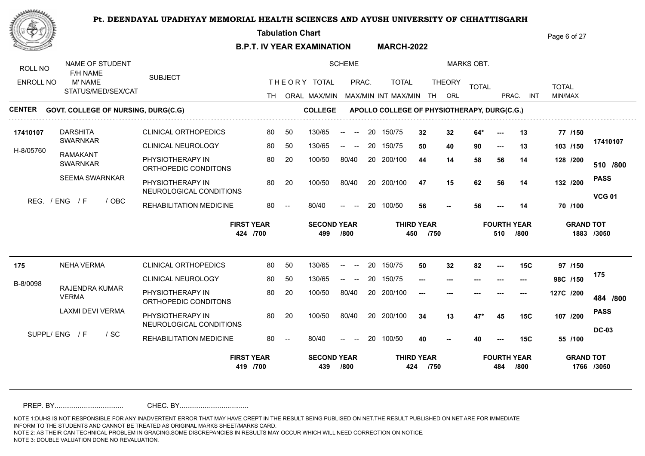**Tabulation Chart** 

**B.P.T. IV YEAR EXAMINATION MARCH-2022** Page 6 of 27

| ROLL NO          | NAME OF STUDENT<br>F/H NAME                |                                             |                               |                          |                           | <b>SCHEME</b>                                         |    |                                             |                           |               | <b>MARKS OBT.</b> |                           |            |                  |               |
|------------------|--------------------------------------------|---------------------------------------------|-------------------------------|--------------------------|---------------------------|-------------------------------------------------------|----|---------------------------------------------|---------------------------|---------------|-------------------|---------------------------|------------|------------------|---------------|
| <b>ENROLL NO</b> | M' NAME                                    | <b>SUBJECT</b>                              |                               |                          | THEORY TOTAL              | PRAC.                                                 |    | <b>TOTAL</b>                                |                           | <b>THEORY</b> | <b>TOTAL</b>      |                           |            | <b>TOTAL</b>     |               |
|                  | STATUS/MED/SEX/CAT                         |                                             | TH.                           |                          | ORAL MAX/MIN              |                                                       |    | MAX/MIN INT MAX/MIN                         | TH                        | ORL           |                   | PRAC.                     | <b>INT</b> | MIN/MAX          |               |
| CENTER           | <b>GOVT. COLLEGE OF NURSING, DURG(C.G)</b> |                                             |                               |                          | <b>COLLEGE</b>            |                                                       |    | APOLLO COLLEGE OF PHYSIOTHERAPY, DURG(C.G.) |                           |               |                   |                           |            |                  |               |
| 17410107         | <b>DARSHITA</b>                            | <b>CLINICAL ORTHOPEDICS</b>                 | 80                            | 50                       | 130/65                    | $\sim$<br>$\overline{\phantom{a}}$                    | 20 | 150/75                                      | 32                        | 32            | $64*$             | ---                       | 13         | 77 /150          |               |
| H-8/05760        | <b>SWARNKAR</b>                            | <b>CLINICAL NEUROLOGY</b>                   | 80                            | 50                       | 130/65                    | $\hspace{0.1mm}-\hspace{0.1mm}-\hspace{0.1mm}$<br>$-$ | 20 | 150/75                                      | 50                        | 40            | 90                | $---$                     | 13         | 103 /150         | 17410107      |
|                  | <b>RAMAKANT</b><br><b>SWARNKAR</b>         | PHYSIOTHERAPY IN<br>ORTHOPEDIC CONDITONS    | 80                            | 20                       | 100/50                    | 80/40                                                 | 20 | 200/100                                     | 44                        | 14            | 58                | 56                        | 14         | 128 /200         | 510 /800      |
|                  | <b>SEEMA SWARNKAR</b>                      | PHYSIOTHERAPY IN<br>NEUROLOGICAL CONDITIONS | 80                            | 20                       | 100/50                    | 80/40                                                 |    | 20 200/100                                  | 47                        | 15            | 62                | 56                        | 14         | 132 /200         | <b>PASS</b>   |
| REG. / ENG       | $\sqrt{F}$<br>/ OBC                        | REHABILITATION MEDICINE                     | 80                            | $\overline{\phantom{a}}$ | 80/40                     | $\hspace{0.1mm}-\hspace{0.1mm}-\hspace{0.1mm}$        | 20 | 100/50                                      | 56                        |               | 56                |                           | 14         | 70 /100          | <b>VCG 01</b> |
|                  |                                            |                                             | <b>FIRST YEAR</b><br>424 /700 |                          | <b>SECOND YEAR</b><br>499 | /800                                                  |    | 450                                         | <b>THIRD YEAR</b><br>/750 |               |                   | <b>FOURTH YEAR</b><br>510 | /800       | <b>GRAND TOT</b> | 1883 /3050    |
| 175              | <b>NEHA VERMA</b>                          | <b>CLINICAL ORTHOPEDICS</b>                 | 80                            | 50                       | 130/65                    |                                                       | 20 | 150/75                                      | 50                        | 32            | 82                | ---                       | <b>15C</b> | 97 /150          |               |
| B-8/0098         |                                            | <b>CLINICAL NEUROLOGY</b>                   | 80                            | 50                       | 130/65                    | $-$<br>$\sim$                                         | 20 | 150/75                                      | ---                       |               |                   |                           |            | 98C /150         | 175           |
|                  | RAJENDRA KUMAR<br><b>VERMA</b>             | PHYSIOTHERAPY IN<br>ORTHOPEDIC CONDITONS    | 80                            | 20                       | 100/50                    | 80/40                                                 |    | 20 200/100                                  | ---                       |               |                   |                           |            | 127C /200        | 484 /800      |
|                  | LAXMI DEVI VERMA                           | PHYSIOTHERAPY IN<br>NEUROLOGICAL CONDITIONS | 80                            | 20                       | 100/50                    | 80/40                                                 |    | 20 200/100                                  | 34                        | 13            | $47*$             | 45                        | 15C        | 107 /200         | <b>PASS</b>   |
|                  | SUPPL/ENG / F<br>$/$ SC                    | REHABILITATION MEDICINE                     | 80                            | $\overline{\phantom{a}}$ | 80/40                     | $\hspace{0.1mm}-\hspace{0.1mm}-\hspace{0.1mm}$        | 20 | 100/50                                      | 40                        |               | 40                |                           | 15C        | 55 /100          | <b>DC-03</b>  |
|                  |                                            |                                             | <b>FIRST YEAR</b>             |                          | <b>SECOND YEAR</b>        |                                                       |    |                                             | <b>THIRD YEAR</b>         |               |                   | <b>FOURTH YEAR</b>        |            | <b>GRAND TOT</b> |               |

PREP. BY.................................... CHEC. BY....................................

NOTE 1:DUHS IS NOT RESPONSIBLE FOR ANY INADVERTENT ERROR THAT MAY HAVE CREPT IN THE RESULT BEING PUBLISED ON NET.THE RESULT PUBLISHED ON NET ARE FOR IMMEDIATE INFORM TO THE STUDENTS AND CANNOT BE TREATED AS ORIGINAL MARKS SHEET/MARKS CARD.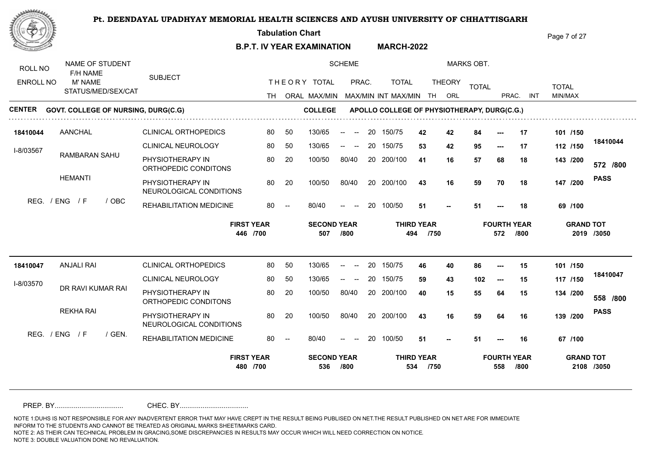**Tabulation Chart** 

**B.P.T. IV YEAR EXAMINATION MARCH-2022** Page 7 of 27

| ROLL NO<br><b>ENROLL NO</b> | NAME OF STUDENT<br>F/H NAME<br>M' NAME     | <b>SUBJECT</b>                              |     |                          | THEORY TOTAL              | <b>SCHEME</b><br>PRAC.                                                     |    | <b>TOTAL</b>                                |                           | <b>THEORY</b> | <b>MARKS OBT.</b> |                           |            |                         |             |
|-----------------------------|--------------------------------------------|---------------------------------------------|-----|--------------------------|---------------------------|----------------------------------------------------------------------------|----|---------------------------------------------|---------------------------|---------------|-------------------|---------------------------|------------|-------------------------|-------------|
|                             | STATUS/MED/SEX/CAT                         |                                             | TH. |                          | ORAL MAX/MIN              |                                                                            |    | MAX/MIN INT MAX/MIN                         | TH                        | ORL           | <b>TOTAL</b>      | PRAC.                     | <b>INT</b> | <b>TOTAL</b><br>MIN/MAX |             |
| CENTER                      | <b>GOVT. COLLEGE OF NURSING, DURG(C.G)</b> |                                             |     |                          | <b>COLLEGE</b>            |                                                                            |    | APOLLO COLLEGE OF PHYSIOTHERAPY, DURG(C.G.) |                           |               |                   |                           |            |                         |             |
| 18410044                    | <b>AANCHAL</b>                             | <b>CLINICAL ORTHOPEDICS</b>                 | 80  | 50                       | 130/65                    | $\sim$<br>$\overline{\phantom{a}}$                                         | 20 | 150/75                                      | 42                        | 42            | 84                |                           | 17         | 101 /150                |             |
| I-8/03567                   |                                            | <b>CLINICAL NEUROLOGY</b>                   | 80  | 50                       | 130/65                    | $\overline{\phantom{a}}$<br>$\hspace{0.1mm}-\hspace{0.1mm}-\hspace{0.1mm}$ | 20 | 150/75                                      | 53                        | 42            | 95                | $---$                     | 17         | 112 /150                | 18410044    |
|                             | RAMBARAN SAHU                              | PHYSIOTHERAPY IN<br>ORTHOPEDIC CONDITONS    | 80  | 20                       | 100/50                    | 80/40                                                                      | 20 | 200/100                                     | 41                        | 16            | 57                | 68                        | 18         | 143 /200                | 572 /800    |
|                             | <b>HEMANTI</b>                             | PHYSIOTHERAPY IN<br>NEUROLOGICAL CONDITIONS | 80  | 20                       | 100/50                    | 80/40                                                                      |    | 20 200/100                                  | 43                        | 16            | 59                | 70                        | 18         | 147 /200                | <b>PASS</b> |
|                             | REG. / ENG<br>/ F<br>/ OBC                 | REHABILITATION MEDICINE                     | 80  | $\overline{\phantom{a}}$ | 80/40                     | $\hspace{0.1mm}-\hspace{0.1mm}-\hspace{0.1mm}$                             | 20 | 100/50                                      | 51                        |               | 51                |                           | 18         | 69 /100                 |             |
|                             |                                            |                                             |     |                          |                           |                                                                            |    |                                             |                           |               |                   |                           |            | <b>GRAND TOT</b>        |             |
|                             |                                            | <b>FIRST YEAR</b><br>446 /700               |     |                          | <b>SECOND YEAR</b><br>507 | /800                                                                       |    | 494                                         | <b>THIRD YEAR</b><br>/750 |               |                   | <b>FOURTH YEAR</b><br>572 | /800       |                         | 2019 /3050  |
| 18410047                    | <b>ANJALI RAI</b>                          | <b>CLINICAL ORTHOPEDICS</b>                 | 80  | 50                       | 130/65                    | $\overline{\phantom{a}}$<br>$- -$                                          | 20 | 150/75                                      | 46                        | 40            | 86                | $---$                     | 15         | 101 /150                |             |
|                             |                                            | <b>CLINICAL NEUROLOGY</b>                   | 80  | 50                       | 130/65                    |                                                                            | 20 | 150/75                                      | 59                        | 43            | 102               | $\hspace{0.05cm} \ldots$  | 15         | 117 /150                | 18410047    |
| I-8/03570                   | DR RAVI KUMAR RAI                          | PHYSIOTHERAPY IN<br>ORTHOPEDIC CONDITONS    | 80  | 20                       | 100/50                    | 80/40                                                                      |    | 20 200/100                                  | 40                        | 15            | 55                | 64                        | 15         | 134 /200                | 558 /800    |
|                             | <b>REKHA RAI</b>                           | PHYSIOTHERAPY IN<br>NEUROLOGICAL CONDITIONS | 80  | 20                       | 100/50                    | 80/40                                                                      |    | 20 200/100                                  | 43                        | 16            | 59                | 64                        | 16         | 139 /200                | <b>PASS</b> |
|                             | REG. / ENG / F<br>$/$ GEN.                 | REHABILITATION MEDICINE                     | 80  |                          | 80/40                     | $\overline{\phantom{a}}$                                                   | 20 | 100/50                                      | 51                        |               | 51                |                           | 16         | 67 /100                 |             |

PREP. BY.................................... CHEC. BY....................................

NOTE 1:DUHS IS NOT RESPONSIBLE FOR ANY INADVERTENT ERROR THAT MAY HAVE CREPT IN THE RESULT BEING PUBLISED ON NET.THE RESULT PUBLISHED ON NET ARE FOR IMMEDIATE INFORM TO THE STUDENTS AND CANNOT BE TREATED AS ORIGINAL MARKS SHEET/MARKS CARD.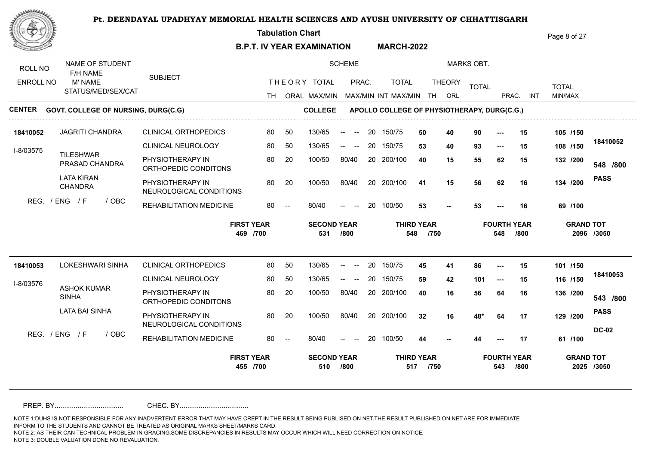**Tabulation Chart** 

**B.P.T. IV YEAR EXAMINATION MARCH-2022** Page 8 of 27

| NAME OF STUDENT                                 |                                                                                                    |                                                                                                               |                          |                           | <b>SCHEME</b>                                              |                                |              |                                                     |                     | <b>MARKS OBT.</b> |                           |            |                                                      |              |
|-------------------------------------------------|----------------------------------------------------------------------------------------------------|---------------------------------------------------------------------------------------------------------------|--------------------------|---------------------------|------------------------------------------------------------|--------------------------------|--------------|-----------------------------------------------------|---------------------|-------------------|---------------------------|------------|------------------------------------------------------|--------------|
| M' NAME                                         |                                                                                                    |                                                                                                               |                          |                           |                                                            |                                | <b>TOTAL</b> |                                                     |                     |                   |                           |            |                                                      |              |
|                                                 |                                                                                                    |                                                                                                               |                          |                           |                                                            |                                |              | TH                                                  | ORL                 |                   |                           | <b>INT</b> | MIN/MAX                                              |              |
|                                                 |                                                                                                    |                                                                                                               |                          |                           |                                                            |                                |              |                                                     |                     |                   |                           |            |                                                      |              |
| <b>JAGRITI CHANDRA</b>                          | <b>CLINICAL ORTHOPEDICS</b>                                                                        | 80                                                                                                            | 50                       | 130/65                    | $\sim$<br>$\sim$                                           | 20                             |              | 50                                                  | 40                  | 90                | $---$                     | 15         | 105 /150                                             |              |
|                                                 | <b>CLINICAL NEUROLOGY</b>                                                                          | 80                                                                                                            | 50                       | 130/65                    | $\begin{array}{ccc} \text{diam} & \text{diam} \end{array}$ | 20                             |              | 53                                                  | 40                  | 93                | $\hspace{0.05cm} \ldots$  | 15         | 108 /150                                             | 18410052     |
| PRASAD CHANDRA                                  | PHYSIOTHERAPY IN<br>ORTHOPEDIC CONDITONS                                                           | 80                                                                                                            | 20                       | 100/50                    | 80/40                                                      | 20                             |              | 40                                                  | 15                  | 55                | 62                        | 15         | 132 /200                                             | 548 /800     |
| <b>LATA KIRAN</b><br><b>CHANDRA</b>             | PHYSIOTHERAPY IN                                                                                   | 80                                                                                                            | 20                       | 100/50                    | 80/40                                                      |                                |              | 41                                                  | 15                  | 56                | 62                        | 16         | 134 /200                                             | <b>PASS</b>  |
| / F<br>/ OBC                                    | REHABILITATION MEDICINE                                                                            | 80                                                                                                            | $\overline{\phantom{a}}$ | 80/40                     | $\hspace{0.1mm}-\hspace{0.1mm}-\hspace{0.1mm}$             | 20                             |              | 53                                                  |                     | 53                |                           | 16         | 69 /100                                              |              |
|                                                 |                                                                                                    |                                                                                                               |                          |                           |                                                            |                                |              |                                                     |                     |                   |                           |            |                                                      |              |
|                                                 | <b>FIRST YEAR</b><br>469 /700                                                                      |                                                                                                               |                          | <b>SECOND YEAR</b><br>531 | /800                                                       |                                | 548          | <b>THIRD YEAR</b><br>/750                           |                     |                   | <b>FOURTH YEAR</b><br>548 | /800       | <b>GRAND TOT</b>                                     | 2096 /3050   |
| <b>LOKESHWARI SINHA</b><br>18410053             | <b>CLINICAL ORTHOPEDICS</b>                                                                        | 80                                                                                                            | 50                       | 130/65                    | $- -$<br>$\overline{\phantom{a}}$                          | 20                             | 150/75       | 45                                                  | 41                  | 86                | $---$                     | 15         | 101 /150                                             |              |
|                                                 | <b>CLINICAL NEUROLOGY</b>                                                                          | 80                                                                                                            | 50                       | 130/65                    | $\begin{array}{ccc} -\infty & \infty & \infty \end{array}$ | 20                             | 150/75       | 59                                                  | 42                  | 101               | $\hspace{0.05cm} \ldots$  | 15         | 116 /150                                             | 18410053     |
| I-8/03576<br><b>ASHOK KUMAR</b><br><b>SINHA</b> | PHYSIOTHERAPY IN<br>ORTHOPEDIC CONDITONS                                                           | 80                                                                                                            | 20                       | 100/50                    | 80/40                                                      |                                | 20 200/100   | 40                                                  | 16                  | 56                | 64                        | 16         | 136 /200                                             | 543 /800     |
| <b>LATA BAI SINHA</b>                           | PHYSIOTHERAPY IN<br>NEUROLOGICAL CONDITIONS                                                        | 80                                                                                                            | 20                       | 100/50                    | 80/40                                                      |                                | 20 200/100   | 32                                                  | 16                  | 48*               | 64                        | 17         | 129 /200                                             | <b>PASS</b>  |
| REG. / ENG / F<br>/ OBC                         | REHABILITATION MEDICINE                                                                            | 80                                                                                                            |                          | 80/40                     | $\hspace{0.1mm}-\hspace{0.1mm}-\hspace{0.1mm}$             | 20                             | 100/50       | 44                                                  |                     | 44                |                           | 17         | 61 /100                                              | <b>DC-02</b> |
|                                                 | ROLL NO<br>F/H NAME<br><b>ENROLL NO</b><br>18410052<br>I-8/03575<br><b>TILESHWAR</b><br>REG. / ENG | <b>SUBJECT</b><br>STATUS/MED/SEX/CAT<br><b>GOVT. COLLEGE OF NURSING, DURG(C.G)</b><br>NEUROLOGICAL CONDITIONS | TH.                      |                           | THEORY TOTAL                                               | ORAL MAX/MIN<br><b>COLLEGE</b> | PRAC.        | 150/75<br>150/75<br>200/100<br>20 200/100<br>100/50 | MAX/MIN INT MAX/MIN | <b>THEORY</b>     | <b>TOTAL</b>              |            | PRAC.<br>APOLLO COLLEGE OF PHYSIOTHERAPY, DURG(C.G.) | <b>TOTAL</b> |

PREP. BY.................................... CHEC. BY....................................

NOTE 1:DUHS IS NOT RESPONSIBLE FOR ANY INADVERTENT ERROR THAT MAY HAVE CREPT IN THE RESULT BEING PUBLISED ON NET.THE RESULT PUBLISHED ON NET ARE FOR IMMEDIATE INFORM TO THE STUDENTS AND CANNOT BE TREATED AS ORIGINAL MARKS SHEET/MARKS CARD.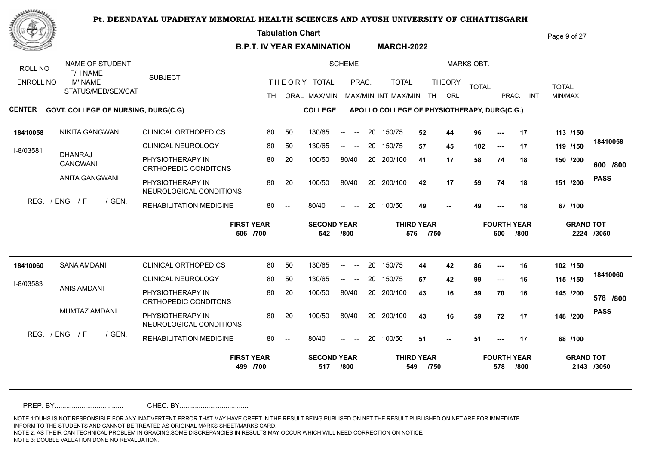**Tabulation Chart** 

**B.P.T. IV YEAR EXAMINATION MARCH-2022** Page 9 of 27

| ROLL NO          | NAME OF STUDENT<br>F/H NAME                |                                             |      |                          |                           | <b>SCHEME</b>                                              |    |                                             |                           |               | <b>MARKS OBT.</b> |                          |                            |                  |             |
|------------------|--------------------------------------------|---------------------------------------------|------|--------------------------|---------------------------|------------------------------------------------------------|----|---------------------------------------------|---------------------------|---------------|-------------------|--------------------------|----------------------------|------------------|-------------|
| <b>ENROLL NO</b> | M' NAME                                    | <b>SUBJECT</b>                              |      |                          | THEORY TOTAL              | PRAC.                                                      |    | <b>TOTAL</b>                                |                           | <b>THEORY</b> | <b>TOTAL</b>      |                          |                            | <b>TOTAL</b>     |             |
|                  | STATUS/MED/SEX/CAT                         |                                             | TH . |                          |                           |                                                            |    | ORAL MAX/MIN MAX/MIN INT MAX/MIN            | TH                        | ORL           |                   | PRAC.                    | <b>INT</b>                 | MIN/MAX          |             |
| <b>CENTER</b>    | <b>GOVT. COLLEGE OF NURSING, DURG(C.G)</b> |                                             |      |                          | <b>COLLEGE</b>            |                                                            |    | APOLLO COLLEGE OF PHYSIOTHERAPY, DURG(C.G.) |                           |               |                   |                          |                            |                  |             |
| 18410058         | <b>NIKITA GANGWANI</b>                     | <b>CLINICAL ORTHOPEDICS</b>                 | 80   | 50                       | 130/65                    | $-$<br>$\sim$                                              | 20 | 150/75                                      | 52                        | 44            | 96                | $---$                    | 17                         | 113 /150         |             |
| I-8/03581        |                                            | <b>CLINICAL NEUROLOGY</b>                   | 80   | 50                       | 130/65                    | $\begin{array}{ccc} -\infty & \infty & \infty \end{array}$ | 20 | 150/75                                      | 57                        | 45            | 102               | $---$                    | 17                         | 119 /150         | 18410058    |
|                  | <b>DHANRAJ</b><br><b>GANGWANI</b>          | PHYSIOTHERAPY IN<br>ORTHOPEDIC CONDITONS    | 80   | 20                       | 100/50                    | 80/40                                                      | 20 | 200/100                                     | 41                        | 17            | 58                | 74                       | 18                         | 150 /200         | 600 /800    |
|                  | ANITA GANGWANI                             | PHYSIOTHERAPY IN<br>NEUROLOGICAL CONDITIONS | 80   | 20                       | 100/50                    | 80/40                                                      |    | 20 200/100                                  | 42                        | 17            | 59                | 74                       | 18                         | 151 /200         | <b>PASS</b> |
|                  | REG. / ENG<br>/ F<br>/ GEN.                | REHABILITATION MEDICINE                     | 80   | $\overline{\phantom{a}}$ | 80/40                     | $\overline{\phantom{a}}$                                   | 20 | 100/50                                      | 49                        |               | 49                |                          | 18                         | 67 /100          |             |
|                  |                                            |                                             |      |                          |                           |                                                            |    |                                             |                           |               |                   |                          |                            |                  |             |
|                  |                                            | <b>FIRST YEAR</b><br>506 /700               |      |                          | <b>SECOND YEAR</b><br>542 | /800                                                       |    | 576                                         | <b>THIRD YEAR</b><br>/750 |               |                   | 600                      | <b>FOURTH YEAR</b><br>/800 | <b>GRAND TOT</b> | 2224 /3050  |
| 18410060         | SANA AMDANI                                | <b>CLINICAL ORTHOPEDICS</b>                 | 80   | 50                       | 130/65                    | $- -$<br>$\hspace{0.05cm}$ – $\hspace{0.05cm}$             | 20 | 150/75                                      | 44                        | 42            | 86                | $---$                    | 16                         | 102 /150         |             |
|                  |                                            | <b>CLINICAL NEUROLOGY</b>                   | 80   | 50                       | 130/65                    |                                                            | 20 | 150/75                                      | 57                        | 42            | 99                | $\hspace{0.05cm} \ldots$ | 16                         | 115 /150         | 18410060    |
| I-8/03583        | <b>ANIS AMDANI</b>                         | PHYSIOTHERAPY IN<br>ORTHOPEDIC CONDITONS    | 80   | 20                       | 100/50                    | 80/40                                                      |    | 20 200/100                                  | 43                        | 16            | 59                | 70                       | 16                         | 145 /200         | 578 /800    |
|                  | MUMTAZ AMDANI                              | PHYSIOTHERAPY IN<br>NEUROLOGICAL CONDITIONS | 80   | 20                       | 100/50                    | 80/40                                                      |    | 20 200/100                                  | 43                        | 16            | 59                | 72                       | 17                         | 148 /200         | <b>PASS</b> |
|                  | REG. / ENG / F<br>/ GEN.                   | REHABILITATION MEDICINE                     | 80   | $\overline{\phantom{a}}$ | 80/40                     | $\hspace{0.05cm}$ – $\hspace{0.05cm}$                      | 20 | 100/50                                      | 51                        |               | 51                |                          | 17                         | 68 /100          |             |

PREP. BY.................................... CHEC. BY....................................

NOTE 1:DUHS IS NOT RESPONSIBLE FOR ANY INADVERTENT ERROR THAT MAY HAVE CREPT IN THE RESULT BEING PUBLISED ON NET.THE RESULT PUBLISHED ON NET ARE FOR IMMEDIATE INFORM TO THE STUDENTS AND CANNOT BE TREATED AS ORIGINAL MARKS SHEET/MARKS CARD.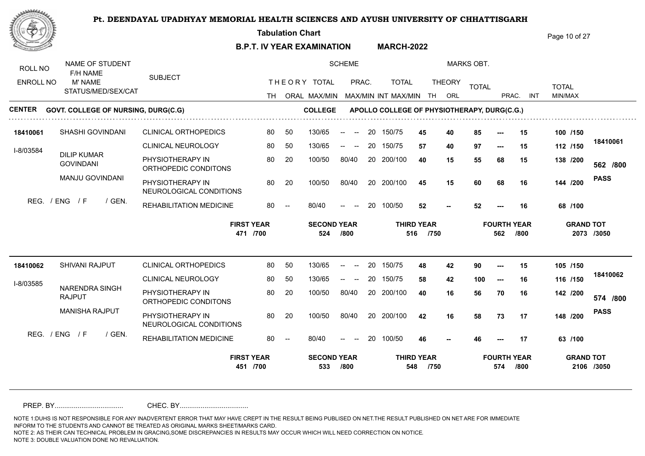**Tabulation Chart** 

**B.P.T. IV YEAR EXAMINATION MARCH-2022** Page 10 of 27

| ROLL NO<br><b>ENROLL NO</b> | NAME OF STUDENT<br>F/H NAME<br>M' NAME<br>STATUS/MED/SEX/CAT |        | <b>SUBJECT</b>                              |                               |                          | THEORY TOTAL                   | <b>SCHEME</b><br>PRAC.                                                     |    | <b>TOTAL</b>                                                       |                           | <b>THEORY</b> | <b>MARKS OBT.</b><br><b>TOTAL</b> |                           |            | <b>TOTAL</b> |                                |
|-----------------------------|--------------------------------------------------------------|--------|---------------------------------------------|-------------------------------|--------------------------|--------------------------------|----------------------------------------------------------------------------|----|--------------------------------------------------------------------|---------------------------|---------------|-----------------------------------|---------------------------|------------|--------------|--------------------------------|
| CENTER                      | <b>GOVT. COLLEGE OF NURSING, DURG(C.G)</b>                   |        |                                             | TH.                           |                          | ORAL MAX/MIN<br><b>COLLEGE</b> |                                                                            |    | MAX/MIN INT MAX/MIN<br>APOLLO COLLEGE OF PHYSIOTHERAPY, DURG(C.G.) | TH                        | ORL           |                                   | PRAC.                     | <b>INT</b> | MIN/MAX      |                                |
|                             |                                                              |        |                                             |                               |                          |                                |                                                                            |    |                                                                    |                           |               |                                   |                           |            |              |                                |
| 18410061                    | SHASHI GOVINDANI                                             |        | <b>CLINICAL ORTHOPEDICS</b>                 | 80                            | 50                       | 130/65                         | $\mathrel{{\mathsf{--}}}\mathrel{{\mathsf{--}}}$<br>$\sim$                 | 20 | 150/75                                                             | 45                        | 40            | 85                                |                           | 15         | 100 /150     |                                |
| I-8/03584                   |                                                              |        | <b>CLINICAL NEUROLOGY</b>                   | 80                            | 50                       | 130/65                         | $\overline{\phantom{a}}$<br>$\hspace{0.1mm}-\hspace{0.1mm}-\hspace{0.1mm}$ | 20 | 150/75                                                             | 57                        | 40            | 97                                | $---$                     | 15         | 112 /150     | 18410061                       |
|                             | <b>DILIP KUMAR</b><br><b>GOVINDANI</b>                       |        | PHYSIOTHERAPY IN<br>ORTHOPEDIC CONDITONS    | 80                            | 20                       | 100/50                         | 80/40                                                                      | 20 | 200/100                                                            | 40                        | 15            | 55                                | 68                        | 15         | 138 /200     | 562 /800                       |
|                             | MANJU GOVINDANI                                              |        | PHYSIOTHERAPY IN<br>NEUROLOGICAL CONDITIONS | 80                            | 20                       | 100/50                         | 80/40                                                                      |    | 20 200/100                                                         | 45                        | 15            | 60                                | 68                        | 16         | 144 /200     | <b>PASS</b>                    |
|                             | REG. / ENG<br>/ F                                            | / GEN. | REHABILITATION MEDICINE                     | 80                            | $\overline{\phantom{a}}$ | 80/40                          | $\hspace{0.1mm}-\hspace{0.1mm}-\hspace{0.1mm}$                             | 20 | 100/50                                                             | 52                        |               | 52                                |                           | 16         | 68 /100      |                                |
|                             |                                                              |        |                                             |                               |                          |                                |                                                                            |    |                                                                    |                           |               |                                   |                           |            |              |                                |
|                             |                                                              |        |                                             | <b>FIRST YEAR</b><br>471 /700 |                          | <b>SECOND YEAR</b><br>524      | /800                                                                       |    | 516                                                                | <b>THIRD YEAR</b><br>/750 |               |                                   | <b>FOURTH YEAR</b><br>562 | /800       |              | <b>GRAND TOT</b><br>2073 /3050 |
| 18410062                    | <b>SHIVANI RAJPUT</b>                                        |        | <b>CLINICAL ORTHOPEDICS</b>                 | 80                            | 50                       | 130/65                         | $\overline{\phantom{a}}$<br>$- -$                                          | 20 | 150/75                                                             | 48                        | 42            | 90                                | $---$                     | 15         | 105 /150     |                                |
|                             |                                                              |        | <b>CLINICAL NEUROLOGY</b>                   | 80                            | 50                       | 130/65                         |                                                                            | 20 | 150/75                                                             | 58                        | 42            | 100                               | $\hspace{0.05cm} \ldots$  | 16         | 116 /150     | 18410062                       |
| I-8/03585                   | <b>NARENDRA SINGH</b><br><b>RAJPUT</b>                       |        | PHYSIOTHERAPY IN<br>ORTHOPEDIC CONDITONS    | 80                            | 20                       | 100/50                         | 80/40                                                                      |    | 20 200/100                                                         | 40                        | 16            | 56                                | 70                        | 16         | 142 /200     | 574 /800                       |
|                             | <b>MANISHA RAJPUT</b>                                        |        | PHYSIOTHERAPY IN<br>NEUROLOGICAL CONDITIONS | 80                            | 20                       | 100/50                         | 80/40                                                                      |    | 20 200/100                                                         | 42                        | 16            | 58                                | 73                        | 17         | 148 /200     | <b>PASS</b>                    |
|                             | REG. / ENG / F                                               | / GEN. | REHABILITATION MEDICINE                     | 80                            |                          | 80/40                          | $\hspace{0.05cm}$ – $\hspace{0.05cm}$                                      | 20 | 100/50                                                             | 46                        |               | 46                                |                           | 17         | 63 /100      |                                |

PREP. BY.................................... CHEC. BY....................................

NOTE 1:DUHS IS NOT RESPONSIBLE FOR ANY INADVERTENT ERROR THAT MAY HAVE CREPT IN THE RESULT BEING PUBLISED ON NET.THE RESULT PUBLISHED ON NET ARE FOR IMMEDIATE INFORM TO THE STUDENTS AND CANNOT BE TREATED AS ORIGINAL MARKS SHEET/MARKS CARD.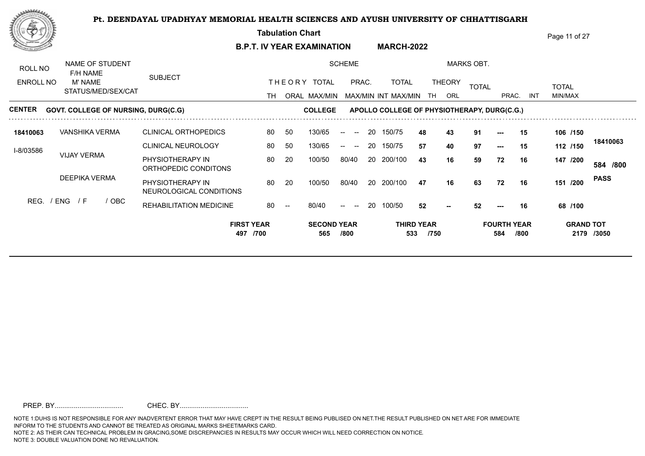**Tabulation Chart**  Page 11 of 27 **B.P.T. IV YEAR EXAMINATION MARCH-2022** NAME OF STUDENT SCHEME MARKS OBT. ROLL NO F/H NAME SUBJECT THE ORY TOTAL PRAC. TOTAL ENROLL NO M' NAME TOTAL THEORY <sub>TOTAL</sub> TOTAL TOTAL STATUS/MED/SEX/CAT TH ORAL MAX/MIN MAX/MIN INT MAX/MIN THAORL THAC. PRAC. INT INT MIN/MAX **CENTER** GOVT. COLLEGE OF NURSING, DURG(C.G) **COLLEGE GOVAT APOLLO COLLEGE OF PHYSIOTHERAPY, DURG(C.G.) 18410063** CLINICAL ORTHOPEDICS VANSHIKA VERMA 80 50 130/65 -- -- 20 150/75 4**8 43** 9 **/150 48 43 91 --- 15 106 18410063** CLINICAL NEUROLOGY 80 50  $130/65$  -- --130/65 -- -- 20 150/75 57 40 \$ **/150 57 40 97 --- 15 112** I-8/03586 VIJAY VERMA PHYSIOTHERAPY IN 80 20 100/50 80/40 **43 16 59 72 16 147** 100/50 80/40 20 200/100 **43 16 59 /800 /200 584** ORTHOPEDIC CONDITONS DEEPIKA VERMA **PASS** PHYSIOTHERAPY IN 30 20 100/50 80/40 20 200/100 47 16 63 100/50 100/50 80/40 **/200 47 16 63 72 16 151** NEUROLOGICAL CONDITIONS REG. / ENG / F / OBC REHABILITATION MEDICINE 80/40 **--** 80/40 -- -- 20 100/50 **/100 52 52 --- 16 68 FIRST YEAR SECOND YEAR THIRD YEAR FOURTH YEAR GRAND TOT 497 /700 565 /800 533 /750 584 /800 2179 /3050**

PREP. BY.................................... CHEC. BY....................................

NOTE 1:DUHS IS NOT RESPONSIBLE FOR ANY INADVERTENT ERROR THAT MAY HAVE CREPT IN THE RESULT BEING PUBLISED ON NET.THE RESULT PUBLISHED ON NET ARE FOR IMMEDIATE INFORM TO THE STUDENTS AND CANNOT BE TREATED AS ORIGINAL MARKS SHEET/MARKS CARD. NOTE 2: AS THEIR CAN TECHNICAL PROBLEM IN GRACING,SOME DISCREPANCIES IN RESULTS MAY OCCUR WHICH WILL NEED CORRECTION ON NOTICE. NOTE 3: DOUBLE VALUATION DONE NO REVALUATION.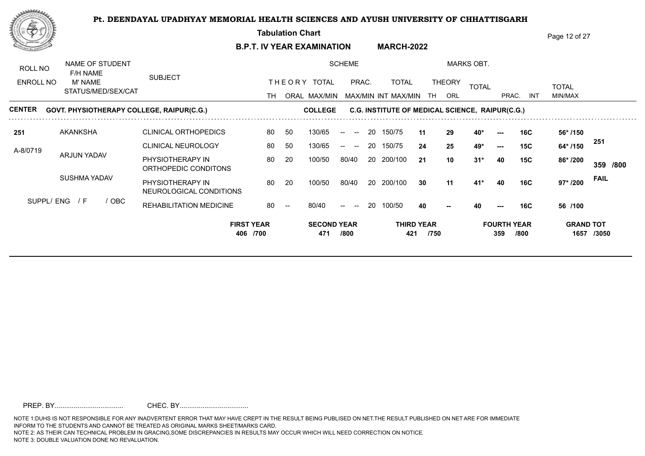**Tabulation Chart** 

**B.P.T. IV YEAR EXAMINATION MARCH-2022** Page 12 of 27

NAME OF STUDENT SCHEME MARKS OBT. ROLL NO F/H NAME SUBJECT THE ORY TOTAL PRAC. TOTAL ENROLL NO M' NAME TOTAL THEORY <sub>TOTAL</sub> TOTAL TOTAL STATUS/MED/SEX/CAT TH ORAL MAX/MIN MAX/MIN INT MAX/MIN THAORL THAC. PRAC. INT INT MIN/MAX **CENTER COLLEGE C.G. INSTITUTE OF MEDICAL SCIENCE, RAIPUR(C.G.) 251** CLINICAL ORTHOPEDICS AKANKSHA 80 50 130/65 -- -- 20 150/75 11 29 4 **11 29 40\* --- 16C 56\* /150 251 /150** CLINICAL NEUROLOGY 80 50  $130/65$  -- --130/65 -- -- 20 150/75 24 25 4 **24 25 49\* --- 15C 64\*** A-8/0719 ARJUN YADAV PHYSIOTHERAPY IN 80 20 100/50 80/40 **21 10 31\* 40 15C 86\*** 100/50 80/40 20 200/100 21 10 3 **/800 /200 359** ORTHOPEDIC CONDITONS SUSHMA YADAV **FAIL** PHYSIOTHERAPY IN 60 20 200 100/50 80/40 20 200/100 30 11 41\* 100/50 100/50 80/40 **/200 30 11 41\* 40 16C 97\*** NEUROLOGICAL CONDITIONS SUPPL/ ENG / F / OBC REHABILITATION MEDICINE 80/40 80/40 -- -- 20 100/50 **/100 40 40 --- 16C 56** <u>40</u> **FIRST YEAR SECOND YEAR THIRD YEAR FOURTH YEAR GRAND TOT 406 /700 471 /800 421 /750 359 /800 1657 /3050**

PREP. BY.................................... CHEC. BY....................................

NOTE 1:DUHS IS NOT RESPONSIBLE FOR ANY INADVERTENT ERROR THAT MAY HAVE CREPT IN THE RESULT BEING PUBLISED ON NET.THE RESULT PUBLISHED ON NET ARE FOR IMMEDIATE INFORM TO THE STUDENTS AND CANNOT BE TREATED AS ORIGINAL MARKS SHEET/MARKS CARD. NOTE 2: AS THEIR CAN TECHNICAL PROBLEM IN GRACING,SOME DISCREPANCIES IN RESULTS MAY OCCUR WHICH WILL NEED CORRECTION ON NOTICE.

NOTE 3: DOUBLE VALUATION DONE NO REVALUATION.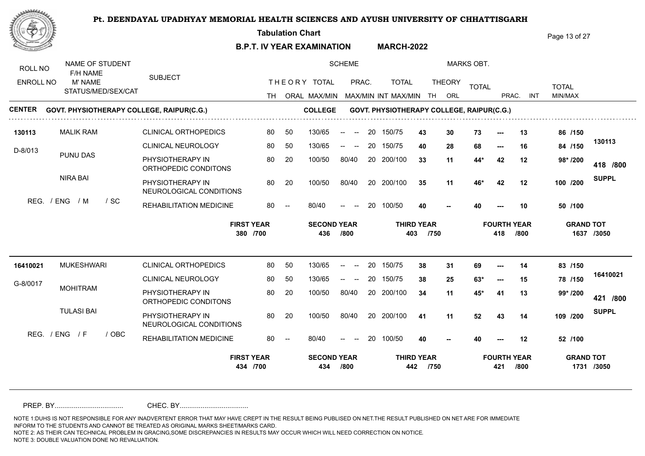**Tabulation Chart** 

**B.P.T. IV YEAR EXAMINATION MARCH-2022** Page 13 of 27

| ROLL NO          | NAME OF STUDENT<br>F/H NAME |                                             |                               |    |                           | <b>SCHEME</b>                                                              |     |                                            |                           |               | <b>MARKS OBT.</b> |                           |      |                  |              |
|------------------|-----------------------------|---------------------------------------------|-------------------------------|----|---------------------------|----------------------------------------------------------------------------|-----|--------------------------------------------|---------------------------|---------------|-------------------|---------------------------|------|------------------|--------------|
| <b>ENROLL NO</b> | M' NAME                     | <b>SUBJECT</b>                              |                               |    | THEORY TOTAL              | PRAC.                                                                      |     | <b>TOTAL</b>                               |                           | <b>THEORY</b> | <b>TOTAL</b>      |                           |      | <b>TOTAL</b>     |              |
|                  | STATUS/MED/SEX/CAT          |                                             |                               |    |                           |                                                                            |     | TH ORAL MAX/MIN MAX/MIN INT MAX/MIN TH ORL |                           |               |                   | PRAC.                     | INT  | MIN/MAX          |              |
| <b>CENTER</b>    |                             | GOVT. PHYSIOTHERAPY COLLEGE, RAIPUR(C.G.)   |                               |    | <b>COLLEGE</b>            |                                                                            |     | GOVT. PHYSIOTHERAPY COLLEGE, RAIPUR(C.G.)  |                           |               |                   |                           |      |                  |              |
| 130113           | <b>MALIK RAM</b>            | <b>CLINICAL ORTHOPEDICS</b>                 | 80                            | 50 | 130/65                    | $\sim$<br>$--$                                                             | -20 | 150/75                                     | 43                        | 30            | 73                |                           | 13   | 86 /150          |              |
| D-8/013          |                             | <b>CLINICAL NEUROLOGY</b>                   | 80                            | 50 | 130/65                    | $\hspace{0.1mm}-\hspace{0.1mm}-\hspace{0.1mm}$                             | 20  | 150/75                                     | 40                        | 28            | 68                | $---$                     | 16   | 84 /150          | 130113       |
|                  | PUNU DAS                    | PHYSIOTHERAPY IN<br>ORTHOPEDIC CONDITONS    | 80                            | 20 | 100/50                    | 80/40                                                                      |     | 20 200/100                                 | 33                        | 11            | 44*               | 42                        | 12   | 98* /200         | 418 /800     |
|                  | NIRA BAI                    | PHYSIOTHERAPY IN<br>NEUROLOGICAL CONDITIONS | 80                            | 20 | 100/50                    | 80/40                                                                      |     | 20 200/100                                 | 35                        | 11            | 46*               | 42                        | 12   | 100 /200         | <b>SUPPL</b> |
| REG.             | / ENG<br>/ M<br>/ SC        | REHABILITATION MEDICINE                     | 80                            |    | 80/40                     |                                                                            | 20  | 100/50                                     | 40                        |               | 40                |                           | 10   | 50 /100          |              |
|                  |                             |                                             |                               |    |                           |                                                                            |     |                                            |                           |               |                   |                           |      |                  |              |
|                  |                             |                                             | <b>FIRST YEAR</b><br>380 /700 |    | <b>SECOND YEAR</b><br>436 | /800                                                                       |     | 403                                        | <b>THIRD YEAR</b><br>/750 |               |                   | <b>FOURTH YEAR</b><br>418 | /800 | <b>GRAND TOT</b> | 1637 /3050   |
| 16410021         | <b>MUKESHWARI</b>           | <b>CLINICAL ORTHOPEDICS</b>                 | 80                            | 50 | 130/65                    | $\overline{\phantom{a}}$                                                   | 20  | 150/75                                     | 38                        | 31            | 69                |                           | 14   | 83 /150          |              |
|                  |                             | <b>CLINICAL NEUROLOGY</b>                   | 80                            | 50 | 130/65                    | $\overline{\phantom{a}}$<br>$\hspace{0.1mm}-\hspace{0.1mm}-\hspace{0.1mm}$ | 20  | 150/75                                     | 38                        | 25            | $63*$             | $---$                     | 15   | 78 /150          | 16410021     |
| G-8/0017         | <b>MOHITRAM</b>             | PHYSIOTHERAPY IN<br>ORTHOPEDIC CONDITONS    | 80                            | 20 | 100/50                    | 80/40                                                                      |     | 20 200/100                                 | 34                        | 11            | 45*               | 41                        | 13   | 99* /200         | 421 /800     |
|                  | <b>TULASI BAI</b>           | PHYSIOTHERAPY IN<br>NEUROLOGICAL CONDITIONS | 80                            | 20 | 100/50                    | 80/40                                                                      |     | 20 200/100                                 | 41                        | 11            | 52                | 43                        | 14   | 109 /200         | <b>SUPPL</b> |
|                  | REG. / ENG / F<br>/ OBC     | REHABILITATION MEDICINE                     | 80                            |    | 80/40                     | $\overline{\phantom{a}}$                                                   | 20  | 100/50                                     | 40                        |               | 40                |                           | 12   | 52 /100          |              |

PREP. BY.................................... CHEC. BY....................................

NOTE 1:DUHS IS NOT RESPONSIBLE FOR ANY INADVERTENT ERROR THAT MAY HAVE CREPT IN THE RESULT BEING PUBLISED ON NET.THE RESULT PUBLISHED ON NET ARE FOR IMMEDIATE INFORM TO THE STUDENTS AND CANNOT BE TREATED AS ORIGINAL MARKS SHEET/MARKS CARD.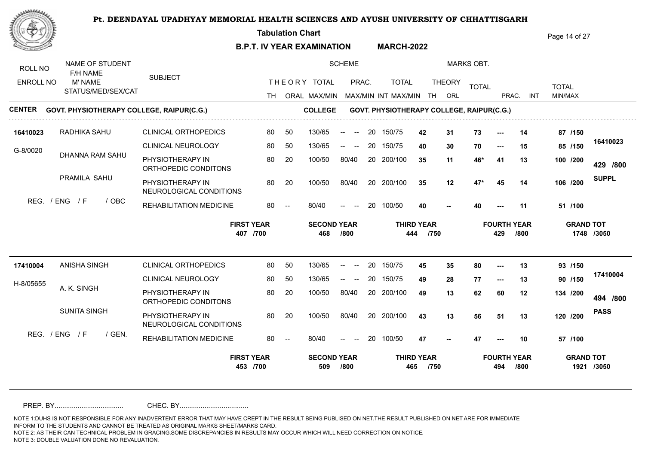**Tabulation Chart** 

**B.P.T. IV YEAR EXAMINATION MARCH-2022** Page 14 of 27

| ROLL NO          | NAME OF STUDENT<br>F/H NAME               |                                             |    |    |                           | <b>SCHEME</b>                                              |    |                                           |        |               | <b>MARKS OBT.</b> |                           |            |                  |              |
|------------------|-------------------------------------------|---------------------------------------------|----|----|---------------------------|------------------------------------------------------------|----|-------------------------------------------|--------|---------------|-------------------|---------------------------|------------|------------------|--------------|
| <b>ENROLL NO</b> | M' NAME                                   | <b>SUBJECT</b>                              |    |    | THEORY TOTAL              | PRAC.                                                      |    | <b>TOTAL</b>                              |        | <b>THEORY</b> | <b>TOTAL</b>      |                           |            | <b>TOTAL</b>     |              |
|                  | STATUS/MED/SEX/CAT                        |                                             |    |    |                           |                                                            |    | TH ORAL MAX/MIN MAX/MIN INT MAX/MIN       | TH ORL |               |                   | PRAC.                     | <b>INT</b> | MIN/MAX          |              |
| CENTER           | GOVT. PHYSIOTHERAPY COLLEGE, RAIPUR(C.G.) |                                             |    |    | <b>COLLEGE</b>            |                                                            |    | GOVT. PHYSIOTHERAPY COLLEGE, RAIPUR(C.G.) |        |               |                   |                           |            |                  |              |
| 16410023         | RADHIKA SAHU                              | <b>CLINICAL ORTHOPEDICS</b>                 | 80 | 50 | 130/65                    | $\sim$<br>$--$                                             | 20 | 150/75                                    | 42     | 31            | 73                |                           | 14         | 87 /150          |              |
| G-8/0020         |                                           | <b>CLINICAL NEUROLOGY</b>                   | 80 | 50 | 130/65                    | $--$<br>$\hspace{0.1mm}-\hspace{0.1mm}-\hspace{0.1mm}$     | 20 | 150/75                                    | 40     | 30            | 70                | $--$                      | 15         | 85 /150          | 16410023     |
|                  | DHANNA RAM SAHU                           | PHYSIOTHERAPY IN<br>ORTHOPEDIC CONDITONS    | 80 | 20 | 100/50                    | 80/40                                                      |    | 20 200/100                                | 35     | 11            | 46*               | 41                        | 13         | 100 /200         | 429 /800     |
|                  | PRAMILA SAHU                              | PHYSIOTHERAPY IN<br>NEUROLOGICAL CONDITIONS | 80 | 20 | 100/50                    | 80/40                                                      |    | 20 200/100                                | 35     | 12            | $47*$             | 45                        | 14         | 106 /200         | <b>SUPPL</b> |
| REG.             | / ENG<br>$\sqrt{F}$<br>/ OBC              | REHABILITATION MEDICINE                     | 80 |    | 80/40                     | $\hspace{0.05cm}$ – $\hspace{0.05cm}$                      | 20 | 100/50                                    | 40     |               | 40                |                           | 11         | 51 /100          |              |
|                  |                                           |                                             |    |    |                           |                                                            |    |                                           |        |               |                   |                           |            |                  |              |
|                  |                                           | <b>FIRST YEAR</b><br>407 /700               |    |    | <b>SECOND YEAR</b><br>468 | /800                                                       |    | <b>THIRD YEAR</b><br>444                  | /750   |               |                   | <b>FOURTH YEAR</b><br>429 | /800       | <b>GRAND TOT</b> | 1748 /3050   |
| 17410004         | ANISHA SINGH                              | <b>CLINICAL ORTHOPEDICS</b>                 | 80 | 50 | 130/65                    | $\overline{\phantom{a}}$                                   | 20 | 150/75                                    | 45     | 35            | 80                | $\overline{\phantom{a}}$  | 13         | 93 /150          |              |
|                  |                                           | <b>CLINICAL NEUROLOGY</b>                   | 80 | 50 | 130/65                    | $\begin{array}{ccc} -\infty & \infty & \infty \end{array}$ | 20 | 150/75                                    | 49     | 28            | 77                | $\hspace{0.05cm} \ldots$  | 13         | 90 /150          | 17410004     |
| H-8/05655        | A. K. SINGH                               | PHYSIOTHERAPY IN<br>ORTHOPEDIC CONDITONS    | 80 | 20 | 100/50                    | 80/40                                                      |    | 20 200/100                                | 49     | 13            | 62                | 60                        | 12         | 134 /200         | 494 /800     |
|                  | <b>SUNITA SINGH</b>                       | PHYSIOTHERAPY IN<br>NEUROLOGICAL CONDITIONS | 80 | 20 | 100/50                    | 80/40                                                      |    | 20 200/100                                | 43     | 13            | 56                | 51                        | 13         | 120 /200         | <b>PASS</b>  |
|                  | REG. / ENG / F<br>/ GEN.                  | REHABILITATION MEDICINE                     | 80 |    | 80/40                     | $\overline{\phantom{a}}$                                   | 20 | 100/50                                    | 47     |               | 47                |                           | 10         | 57 /100          |              |

PREP. BY.................................... CHEC. BY....................................

NOTE 1:DUHS IS NOT RESPONSIBLE FOR ANY INADVERTENT ERROR THAT MAY HAVE CREPT IN THE RESULT BEING PUBLISED ON NET.THE RESULT PUBLISHED ON NET ARE FOR IMMEDIATE INFORM TO THE STUDENTS AND CANNOT BE TREATED AS ORIGINAL MARKS SHEET/MARKS CARD.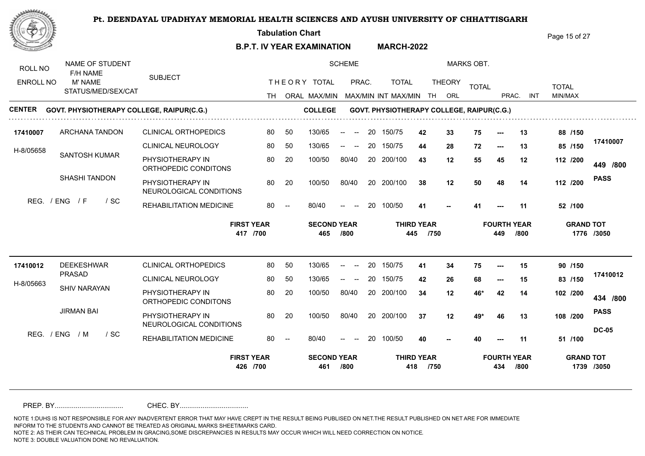**Tabulation Chart** 

**B.P.T. IV YEAR EXAMINATION MARCH-2022** Page 15 of 27

NAME OF STUDENT SCHEME MARKS OBT. ROLL NO F/H NAME SUBJECT THE ORY TOTAL PRAC. TOTAL ENROLL NO M' NAME TOTAL THEORY <sub>TOTAL</sub> TOTAL TOTAL STATUS/MED/SEX/CAT TH ORAL MAX/MIN MAX/MIN MAX/MIN INT MAX/MIN TH ORL PRAC. INT INT MIN/MAX **CENTER COLLEGE GOVT. PHYSIOTHERAPY COLLEGE, RAIPUR(C.G.) GOVT. PHYSIOTHERAPY COLLEGE, RAIPUR(C.G.)** 50 130/65 150/75 **17410007** CLINICAL ORTHOPEDICS ARCHANA TANDON 80 50 130/65 -- -- 20 150/75 4**2 33** 1 **42 33 75 --- 13 88 /150 17410007** CLINICAL NEUROLOGY 80 50 80 50 130/65 -- -- 20 150/75 **44 28** 1 **/150 44 28 72 --- 13 85** H-8/05658 SANTOSH KUMAR PHYSIOTHERAPY IN 80 20 100/50 80/40 **43 12 55 45 12 112** 100/50 80/40 20 200/100 43 12 5 **/800 /200 449** ORTHOPEDIC CONDITONS SHASHI TANDON **PASS** PHYSIOTHERAPY IN 20 20 20 100/50 80/40 20 200/100 38 12 50 100/50 100/50 80/40 20 200/100 38 **/200 38 12 50 48 14 112** NEUROLOGICAL CONDITIONS REG. / ENG / F / SC REHABILITATION MEDICINE 80/40 **--** 80/40 -- -- 20 100/50 **/100 41 41 --- 11 52 FIRST YEAR SECOND YEAR THIRD YEAR FOURTH YEAR GRAND TOT 417 /700 465 /800 445 /750 449 /800 1776 /3050** CLINICAL ORTHOPEDICS DEEKESHWAR **17410012** 80 20 150/75 50 130/65 -- -- **/150 41 34 75 --- 15 90** PRASAD **17410012** CLINICAL NEUROLOGY 80 50  $130/65$  -- --130/65 -- -- 20 150/75 42 26 ( **/150 42 26 68 --- 15 83** H-8/05663 SHIV NARAYAN PHYSIOTHERAPY IN 80 20 100/50 80/40 100/50 80/40 20 200/100 34 12 4 **34 12 46\* 42 14 102 /800 /200 434** ORTHOPEDIC CONDITONS JIRMAN BAI **PASS** PHYSIOTHERAPY IN 20 20 20 200/100 20 200/100 20 200/100 27 29\* 100/50 100/50 80/40 **/200 37 12 49\* 46 13 108** NEUROLOGICAL CONDITIONS **DC-05** REG. / ENG / M / SC REHABILITATION MEDICINE 80 -**/100**  $80/40$ 80/40 -- -- 20 100/50 **40 40 --- 11 51** 40 **FIRST YEAR SECOND YEAR THIRD YEAR FOURTH YEAR GRAND TOT 426 /700 461 /800 418 /750 434 /800 1739 /3050**

PREP. BY.................................... CHEC. BY....................................

NOTE 1:DUHS IS NOT RESPONSIBLE FOR ANY INADVERTENT ERROR THAT MAY HAVE CREPT IN THE RESULT BEING PUBLISED ON NET.THE RESULT PUBLISHED ON NET ARE FOR IMMEDIATE INFORM TO THE STUDENTS AND CANNOT BE TREATED AS ORIGINAL MARKS SHEET/MARKS CARD.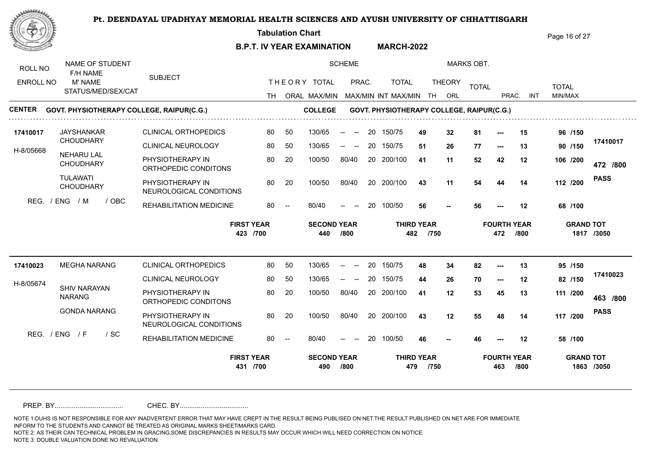**Tabulation Chart** 

**B.P.T. IV YEAR EXAMINATION MARCH-2022** Page 16 of 27

| ROLL NO<br><b>ENROLL NO</b> | NAME OF STUDENT<br>F/H NAME<br>M' NAME | <b>SUBJECT</b>                              |      |                          | THEORY TOTAL              | <b>SCHEME</b><br>PRAC.                                  |    | <b>TOTAL</b>                              |                           | <b>THEORY</b> | <b>MARKS OBT.</b> |                           |            |                         |             |
|-----------------------------|----------------------------------------|---------------------------------------------|------|--------------------------|---------------------------|---------------------------------------------------------|----|-------------------------------------------|---------------------------|---------------|-------------------|---------------------------|------------|-------------------------|-------------|
|                             | STATUS/MED/SEX/CAT                     |                                             | TH T |                          | ORAL MAX/MIN              |                                                         |    | MAX/MIN INT MAX/MIN                       | TH                        | ORL           | <b>TOTAL</b>      | PRAC.                     | <b>INT</b> | <b>TOTAL</b><br>MIN/MAX |             |
| <b>CENTER</b>               |                                        | GOVT. PHYSIOTHERAPY COLLEGE, RAIPUR(C.G.)   |      |                          | <b>COLLEGE</b>            |                                                         |    | GOVT. PHYSIOTHERAPY COLLEGE, RAIPUR(C.G.) |                           |               |                   |                           |            |                         |             |
| 17410017                    | <b>JAYSHANKAR</b>                      | <b>CLINICAL ORTHOPEDICS</b>                 | 80   | 50                       | 130/65                    | $\sim$<br>$--$                                          | 20 | 150/75                                    | 49                        | 32            | 81                |                           | 15         | 96 /150                 |             |
| H-8/05668                   | <b>CHOUDHARY</b>                       | <b>CLINICAL NEUROLOGY</b>                   | 80   | 50                       | 130/65                    | $\overline{\phantom{a}}$<br>$- -$                       | 20 | 150/75                                    | 51                        | 26            | 77                | $\hspace{0.05cm} \ldots$  | 13         | 90 /150                 | 17410017    |
|                             | <b>NEHARU LAL</b><br><b>CHOUDHARY</b>  | PHYSIOTHERAPY IN<br>ORTHOPEDIC CONDITONS    | 80   | 20                       | 100/50                    | 80/40                                                   |    | 20 200/100                                | 41                        | 11            | 52                | 42                        | 12         | 106 /200                | 472 /800    |
|                             | <b>TULAWATI</b><br><b>CHOUDHARY</b>    | PHYSIOTHERAPY IN<br>NEUROLOGICAL CONDITIONS | 80   | 20                       | 100/50                    | 80/40                                                   |    | 20 200/100                                | 43                        | 11            | 54                | 44                        | 14         | 112 /200                | <b>PASS</b> |
|                             | REG. / ENG<br>/ M<br>/ OBC             | REHABILITATION MEDICINE                     | 80   | $\overline{\phantom{a}}$ | 80/40                     | $- -$<br>$\hspace{0.1mm}-\hspace{0.1mm}-\hspace{0.1mm}$ | 20 | 100/50                                    | 56                        |               | 56                |                           | 12         | 68 /100                 |             |
|                             |                                        |                                             |      |                          |                           |                                                         |    |                                           |                           |               |                   |                           |            |                         |             |
|                             |                                        | <b>FIRST YEAR</b><br>423 /700               |      |                          | <b>SECOND YEAR</b><br>440 | /800                                                    |    | 482                                       | <b>THIRD YEAR</b><br>/750 |               |                   | <b>FOURTH YEAR</b><br>472 | /800       | <b>GRAND TOT</b>        | 1817 /3050  |
| 17410023                    | <b>MEGHA NARANG</b>                    | <b>CLINICAL ORTHOPEDICS</b>                 | 80   | 50                       | 130/65                    | $\overline{\phantom{a}}$                                | 20 | 150/75                                    | 48                        | 34            | 82                | $---$                     | 13         | 95 /150                 |             |
|                             |                                        | CLINICAL NEUROLOGY                          | 80   | 50                       | 130/65                    |                                                         | 20 | 150/75                                    | 44                        | 26            | 70                | $---$                     | 12         | 82 /150                 | 17410023    |
| H-8/05674                   | <b>SHIV NARAYAN</b><br><b>NARANG</b>   | PHYSIOTHERAPY IN<br>ORTHOPEDIC CONDITONS    | 80   | 20                       | 100/50                    | 80/40                                                   |    | 20 200/100                                | 41                        | 12            | 53                | 45                        | 13         | 111 /200                | 463 /800    |
|                             | <b>GONDA NARANG</b>                    | PHYSIOTHERAPY IN<br>NEUROLOGICAL CONDITIONS | 80   | 20                       | 100/50                    | 80/40                                                   |    | 20 200/100                                | 43                        | 12            | 55                | 48                        | 14         | 117 /200                | <b>PASS</b> |
|                             | REG. / ENG / F<br>$/$ SC               | REHABILITATION MEDICINE                     | 80   |                          | 80/40                     | $\overline{\phantom{a}}$                                | 20 | 100/50                                    | 46                        |               | 46                |                           | 12         | 58 /100                 |             |

PREP. BY.................................... CHEC. BY....................................

NOTE 1:DUHS IS NOT RESPONSIBLE FOR ANY INADVERTENT ERROR THAT MAY HAVE CREPT IN THE RESULT BEING PUBLISED ON NET.THE RESULT PUBLISHED ON NET ARE FOR IMMEDIATE INFORM TO THE STUDENTS AND CANNOT BE TREATED AS ORIGINAL MARKS SHEET/MARKS CARD.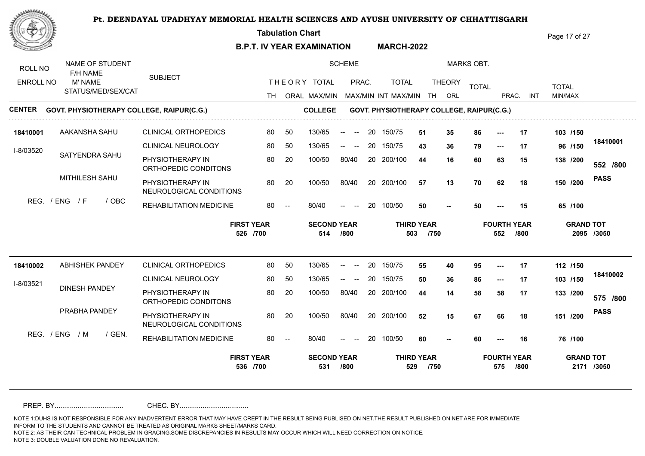**Tabulation Chart** 

**B.P.T. IV YEAR EXAMINATION MARCH-2022** Page 17 of 27

NAME OF STUDENT SCHEME MARKS OBT. ROLL NO F/H NAME SUBJECT THE ORY TOTAL PRAC. TOTAL ENROLL NO M' NAME TOTAL THEORY <sub>TOTAL</sub> TOTAL TOTAL STATUS/MED/SEX/CAT TH ORAL MAX/MIN MAX/MIN MAX/MIN INT MAX/MIN TH ORL PRAC. INT INT MIN/MAX **CENTER COLLEGE GOVT. PHYSIOTHERAPY COLLEGE, RAIPUR(C.G.) GOVT. PHYSIOTHERAPY COLLEGE, RAIPUR(C.G.) 18410001** 150/75 CLINICAL ORTHOPEDICS AAKANSHA SAHU 80 50 130/65 -- -- 20 150/75 5**1 35** 8 50 130/65 **/150 51 35 86 --- 17 103 18410001** CLINICAL NEUROLOGY 80 50 80 50 130/65 -- -- 20 150/75 **43 36** 1 **/150 43 36 79 --- 17 96** I-8/03520 SATYENDRA SAHU PHYSIOTHERAPY IN 80 20 100/50 80/40 **44 16 60 63 15 138** 100/50 80/40 20 200/100 44 16 60 **/800 /200 552** ORTHOPEDIC CONDITONS MITHILESH SAHU **PASS** PHYSIOTHERAPY IN 30 20 20 100/50 80/40 20 200/100 57 13 70 100/50 100/50 80/40 **/200 57 13 70 62 18 150** NEUROLOGICAL CONDITIONS REG. / ENG / F / OBC REHABILITATION MEDICINE 80/40 **--** 80/40 -- -- 20 100/50 **/100 50 50 --- 15 65 FIRST YEAR SECOND YEAR THIRD YEAR FOURTH YEAR GRAND TOT 526 /700 514 /800 503 /750 552 /800 2095 /3050 18410002** CLINICAL ORTHOPEDICS ABHISHEK PANDEY 80 50 130/65 -- -- 20 150/75 5**5 40** 9 **/150 55 40 95 --- 17 112 18410002** CLINICAL NEUROLOGY 80 50  $130/65$  -- --130/65 -- -- 20 150/75 50 36 8 **/150 50 36 86 --- 17 103** I-8/03521 DINESH PANDEY PHYSIOTHERAPY IN 80 20 100/50 80/40 100/50 80/40 20 200/100 44 14 58 **44 14 58 58 17 133 /800 /200 575** ORTHOPEDIC CONDITONS PRABHA PANDEY **PASS** PHYSIOTHERAPY IN 20 20 20 100/50 80/40 20 200/100 52 15 67 100/50 100/50 80/40 **/200 52 15 67 66 18 151** NEUROLOGICAL CONDITIONS REG. / ENG / M / GEN. REHABILITATION MEDICINE 80 -**/100**  $80/40$ 80/40 -- -- 20 100/50 **60 60 --- 16 76 -- FIRST YEAR SECOND YEAR THIRD YEAR FOURTH YEAR GRAND TOT 536 /700 531 /800 529 /750 575 /800 2171 /3050**

PREP. BY.................................... CHEC. BY....................................

NOTE 1:DUHS IS NOT RESPONSIBLE FOR ANY INADVERTENT ERROR THAT MAY HAVE CREPT IN THE RESULT BEING PUBLISED ON NET.THE RESULT PUBLISHED ON NET ARE FOR IMMEDIATE INFORM TO THE STUDENTS AND CANNOT BE TREATED AS ORIGINAL MARKS SHEET/MARKS CARD.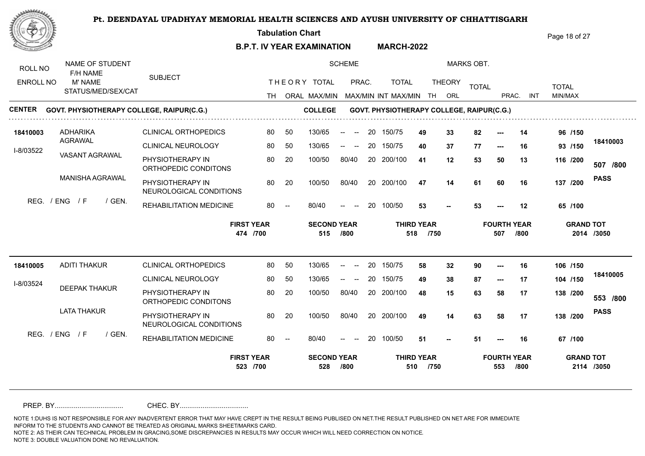**Tabulation Chart** 

**B.P.T. IV YEAR EXAMINATION MARCH-2022** Page 18 of 27

NAME OF STUDENT SCHEME MARKS OBT. ROLL NO F/H NAME SUBJECT THE ORY TOTAL PRAC. TOTAL ENROLL NO M' NAME TOTAL THEORY <sub>TOTAL</sub> TOTAL TOTAL STATUS/MED/SEX/CAT TH ORAL MAX/MIN MAX/MIN MAX/MIN INT MAX/MIN TH ORL PRAC. INT INT MIN/MAX **CENTER COLLEGE GOVT. PHYSIOTHERAPY COLLEGE, RAIPUR(C.G.) GOVT. PHYSIOTHERAPY COLLEGE, RAIPUR(C.G.)** CLINICAL ORTHOPEDICS  $130/65$  -- -- 20 150/75 ADHARIKA **18410003** 80 50 130/65 -- -- 20 150/75 49 33 8 **49 33 82 --- 14 96 /150** AGRAWAL **18410003** CLINICAL NEUROLOGY 80 50 80 50 130/65 -- -- 20 150/75 **40 37** 1 **/150 40 37 77 --- 16 93** I-8/03522 VASANT AGRAWAL PHYSIOTHERAPY IN 80 20 100/50 80/40 **41 12 53 50 13 116** 100/50 80/40 20 200/100 41 12 53 **/800 /200 507** ORTHOPEDIC CONDITONS MANISHA AGRAWAL **PASS** PHYSIOTHERAPY IN 30 20 100/50 80/40 20 200/100 47 14 61 100/50 100/50 80/40 **/200 47 14 61 60 16 137** NEUROLOGICAL CONDITIONS REG. / ENG / F / GEN. REHABILITATION MEDICINE 80/40 **--** 80/40 -- -- 20 100/50 **53 -- -** -**/100 53 53 --- 12 65 FIRST YEAR SECOND YEAR THIRD YEAR FOURTH YEAR GRAND TOT 474 /700 515 /800 518 /750 507 /800 2014 /3050 18410005** CLINICAL ORTHOPEDICS ADITI THAKUR 80 50 130/65 -- -- 20 150/75 58 32 \$ **/150 58 32 90 --- 16 106 18410005** CLINICAL NEUROLOGY 80 50  $130/65$  -- --130/65 -- -- 20 150/75 49 38 8 **/150 49 38 87 --- 17 104** I-8/03524 DEEPAK THAKUR PHYSIOTHERAPY IN 80 20 100/50 80/40 100/50 80/40 20 200/100 48 15 63 **48 15 63 58 17 138 /800 /200 553** ORTHOPEDIC CONDITONS LATA THAKUR **PASS** PHYSIOTHERAPY IN 20 20 20 100/50 80/40 20 200/100 49 14 63 100/50 100/50 80/40 **/200 49 14 63 58 17 138** NEUROLOGICAL CONDITIONS  $RFG$  /  $FNG$  /  $F$  /  $GFN$ REHABILITATION MEDICINE 80 -**/100**  $80/40$ 80/40 -- -- 20 100/50 **51 -- -** -**51 51 --- 16 67 -- FIRST YEAR SECOND YEAR THIRD YEAR FOURTH YEAR GRAND TOT 523 /700 528 /800 510 /750 553 /800 2114 /3050**

PREP. BY.................................... CHEC. BY....................................

NOTE 1:DUHS IS NOT RESPONSIBLE FOR ANY INADVERTENT ERROR THAT MAY HAVE CREPT IN THE RESULT BEING PUBLISED ON NET.THE RESULT PUBLISHED ON NET ARE FOR IMMEDIATE INFORM TO THE STUDENTS AND CANNOT BE TREATED AS ORIGINAL MARKS SHEET/MARKS CARD.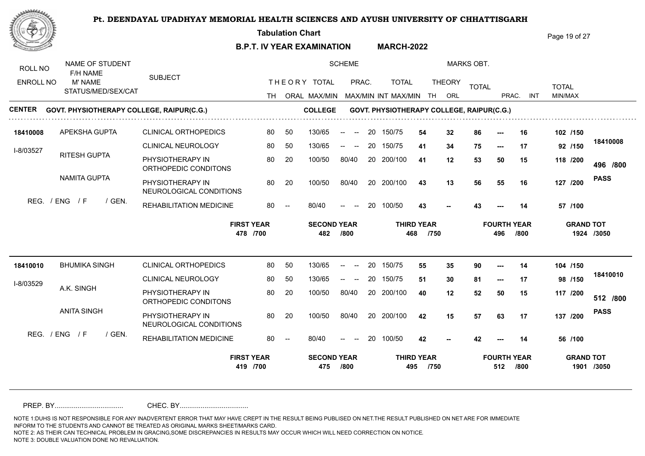**Tabulation Chart** 

**B.P.T. IV YEAR EXAMINATION MARCH-2022** Page 19 of 27

NAME OF STUDENT SCHEME MARKS OBT. ROLL NO F/H NAME SUBJECT THE ORY TOTAL PRAC. TOTAL ENROLL NO M' NAME TOTAL THEORY <sub>TOTAL</sub> TOTAL TOTAL STATUS/MED/SEX/CAT TH ORAL MAX/MIN MAX/MIN MAX/MIN INT MAX/MIN TH ORL PRAC. INT INT MIN/MAX **CENTER COLLEGE GOVT. PHYSIOTHERAPY COLLEGE, RAIPUR(C.G.) GOVT. PHYSIOTHERAPY COLLEGE, RAIPUR(C.G.) 18410008** 150/75 CLINICAL ORTHOPEDICS APEKSHA GUPTA 80 50 130/65 -- -- 20 150/75 5**4 32** 8 50 130/65 **/150 54 32 86 --- 16 102 18410008** CLINICAL NEUROLOGY 80 50 130/65 -- -- 20 150/75 **41 34** 1 **/150 41 34 75 --- 17 92** I-8/03527 RITESH GUPTA PHYSIOTHERAPY IN 80 20 100/50 80/40 **41 12 53 50 15 118** 100/50 80/40 20 200/100 41 12 53 **/800 /200 496** ORTHOPEDIC CONDITONS NAMITA GUPTA **PASS** PHYSIOTHERAPY IN 30 20 100/50 80/40 20 200/100 43 13 56 100/50 100/50 80/40 20 200/100 43 **/200 43 13 56 55 16 127** NEUROLOGICAL CONDITIONS REG. / ENG / F / GEN. REHABILITATION MEDICINE 80/40 **43** 80/40 -- -- 20 100/50 **/100 43 43 --- 14 57 FIRST YEAR SECOND YEAR THIRD YEAR FOURTH YEAR GRAND TOT 478 /700 482 /800 468 /750 496 /800 1924 /3050 18410010** BHUMIKA SINGH CLINICAL ORTHOPEDICS 80 50 1 80 50 130/65 -- -- 20 150/75 55 35 \$ **/150 55 35 90 --- 14 104 18410010** CLINICAL NEUROLOGY 80 50  $130/65$  -- --130/65 -- -- 20 150/75 51 30 8 **/150 51 30 81 --- 17 98** I-8/03529 A.K. SINGH PHYSIOTHERAPY IN 80 20 100/50 80/40 100/50 80/40 20 200/100 40 12 52 **40 12 52 50 15 117 /800 /200 512** ORTHOPEDIC CONDITONS ANITA SINGH **PASS** PHYSIOTHERAPY IN 20 20 20 100/50 80/40 20 200/100 42 15 57 100/50 100/50 80/40 **/200 42 15 57 63 17 137** NEUROLOGICAL CONDITIONS REG. / ENG / F / GEN. REHABILITATION MEDICINE 80 -**/100**  $80/40$ 80/40 -- -- 20 100/50 **42 42 --- 14 56** 42 **FIRST YEAR SECOND YEAR THIRD YEAR FOURTH YEAR GRAND TOT 419 /700 475 /800 495 /750 512 /800 1901 /3050**

PREP. BY.................................... CHEC. BY....................................

NOTE 1:DUHS IS NOT RESPONSIBLE FOR ANY INADVERTENT ERROR THAT MAY HAVE CREPT IN THE RESULT BEING PUBLISED ON NET.THE RESULT PUBLISHED ON NET ARE FOR IMMEDIATE INFORM TO THE STUDENTS AND CANNOT BE TREATED AS ORIGINAL MARKS SHEET/MARKS CARD.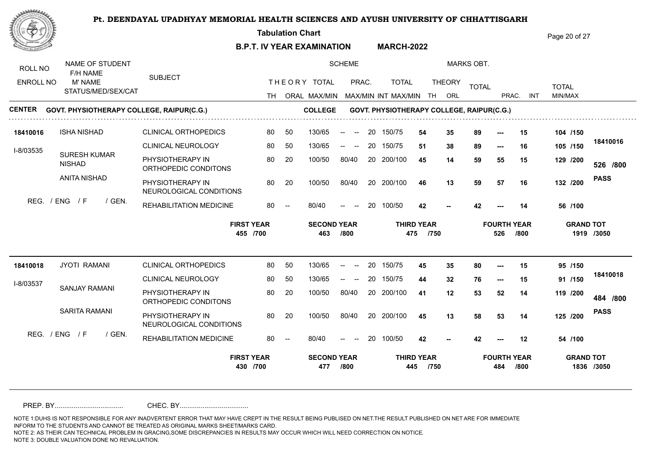**Tabulation Chart** 

**B.P.T. IV YEAR EXAMINATION MARCH-2022** Page 20 of 27

| ROLL NO          | NAME OF STUDENT<br>F/H NAME               |                                             |    |    |                           | <b>SCHEME</b>                                            |    |                                            |                           |               | <b>MARKS OBT.</b> |                           |      |                  |             |
|------------------|-------------------------------------------|---------------------------------------------|----|----|---------------------------|----------------------------------------------------------|----|--------------------------------------------|---------------------------|---------------|-------------------|---------------------------|------|------------------|-------------|
| <b>ENROLL NO</b> | M' NAME                                   | <b>SUBJECT</b>                              |    |    | THEORY TOTAL              | PRAC.                                                    |    | <b>TOTAL</b>                               |                           | <b>THEORY</b> | <b>TOTAL</b>      |                           |      | <b>TOTAL</b>     |             |
|                  | STATUS/MED/SEX/CAT                        |                                             |    |    |                           |                                                          |    | TH ORAL MAX/MIN MAX/MIN INT MAX/MIN TH ORL |                           |               |                   | PRAC.                     | INT  | MIN/MAX          |             |
| <b>CENTER</b>    | GOVT. PHYSIOTHERAPY COLLEGE, RAIPUR(C.G.) |                                             |    |    | <b>COLLEGE</b>            |                                                          |    | GOVT. PHYSIOTHERAPY COLLEGE, RAIPUR(C.G.)  |                           |               |                   |                           |      |                  |             |
| 18410016         | <b>ISHA NISHAD</b>                        | <b>CLINICAL ORTHOPEDICS</b>                 | 80 | 50 | 130/65                    | $\sim$<br>$--$                                           | 20 | 150/75                                     | 54                        | 35            | 89                |                           | 15   | 104 /150         |             |
| I-8/03535        |                                           | <b>CLINICAL NEUROLOGY</b>                   | 80 | 50 | 130/65                    | $- -$<br>$\hspace{0.1mm}-\hspace{0.1mm}-\hspace{0.1mm}$  | 20 | 150/75                                     | 51                        | 38            | 89                | $--$                      | 16   | 105 /150         | 18410016    |
|                  | <b>SURESH KUMAR</b><br><b>NISHAD</b>      | PHYSIOTHERAPY IN<br>ORTHOPEDIC CONDITONS    | 80 | 20 | 100/50                    | 80/40                                                    |    | 20 200/100                                 | 45                        | 14            | 59                | 55                        | 15   | 129 /200         | 526 /800    |
|                  | <b>ANITA NISHAD</b>                       | PHYSIOTHERAPY IN<br>NEUROLOGICAL CONDITIONS | 80 | 20 | 100/50                    | 80/40                                                    |    | 20 200/100                                 | 46                        | 13            | 59                | 57                        | 16   | 132 /200         | <b>PASS</b> |
| REG.             | / ENG<br>/ F<br>/ GEN.                    | <b>REHABILITATION MEDICINE</b>              | 80 |    | 80/40                     | $\overline{\phantom{a}}$                                 | 20 | 100/50                                     | 42                        |               | 42                |                           | 14   | 56 /100          |             |
|                  |                                           |                                             |    |    |                           |                                                          |    |                                            |                           |               |                   |                           |      |                  |             |
|                  |                                           | <b>FIRST YEAR</b><br>455 /700               |    |    | <b>SECOND YEAR</b><br>463 | /800                                                     |    | 475                                        | <b>THIRD YEAR</b><br>/750 |               |                   | <b>FOURTH YEAR</b><br>526 | /800 | <b>GRAND TOT</b> | 1919 /3050  |
| 18410018         | <b>JYOTI RAMANI</b>                       | <b>CLINICAL ORTHOPEDICS</b>                 | 80 | 50 | 130/65                    | $\overline{\phantom{a}}$                                 | 20 | 150/75                                     | 45                        | 35            | 80                | $---$                     | 15   | 95 /150          |             |
|                  |                                           | CLINICAL NEUROLOGY                          | 80 | 50 | 130/65                    | $  \,$<br>$\hspace{0.1mm}-\hspace{0.1mm}-\hspace{0.1mm}$ | 20 | 150/75                                     | 44                        | 32            | 76                | $\hspace{0.05cm} \ldots$  | 15   | 91 /150          | 18410018    |
| I-8/03537        | <b>SANJAY RAMANI</b>                      | PHYSIOTHERAPY IN<br>ORTHOPEDIC CONDITONS    | 80 | 20 | 100/50                    | 80/40                                                    |    | 20 200/100                                 | 41                        | 12            | 53                | 52                        | 14   | 119 /200         | 484 /800    |
|                  | <b>SARITA RAMANI</b>                      | PHYSIOTHERAPY IN<br>NEUROLOGICAL CONDITIONS | 80 | 20 | 100/50                    | 80/40                                                    |    | 20 200/100                                 | 45                        | 13            | 58                | 53                        | 14   | 125 /200         | <b>PASS</b> |
|                  | REG. $/$ ENG $/$ F<br>/ GEN.              | REHABILITATION MEDICINE                     | 80 |    | 80/40                     | $\overline{\phantom{a}}$                                 | 20 | 100/50                                     | 42                        |               | 42                |                           | 12   | 54 /100          |             |

PREP. BY.................................... CHEC. BY....................................

NOTE 1:DUHS IS NOT RESPONSIBLE FOR ANY INADVERTENT ERROR THAT MAY HAVE CREPT IN THE RESULT BEING PUBLISED ON NET.THE RESULT PUBLISHED ON NET ARE FOR IMMEDIATE INFORM TO THE STUDENTS AND CANNOT BE TREATED AS ORIGINAL MARKS SHEET/MARKS CARD.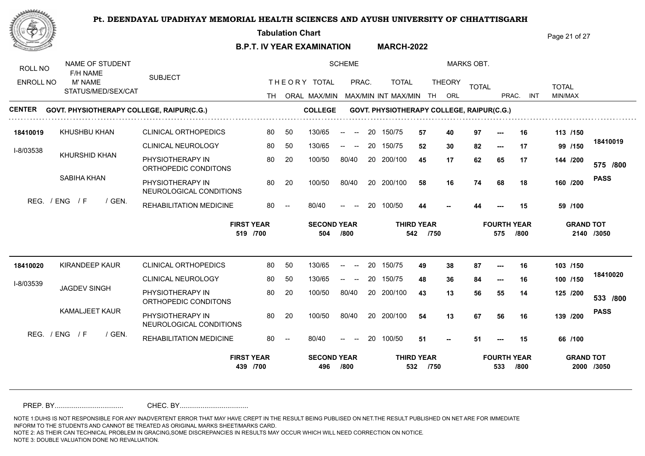**Tabulation Chart** 

**B.P.T. IV YEAR EXAMINATION MARCH-2022** Page 21 of 27

NAME OF STUDENT SCHEME MARKS OBT. ROLL NO F/H NAME SUBJECT THE ORY TOTAL PRAC. TOTAL ENROLL NO M' NAME TOTAL THEORY <sub>TOTAL</sub> TOTAL TOTAL STATUS/MED/SEX/CAT TH ORAL MAX/MIN MAX/MIN MAX/MIN INT MAX/MIN TH ORL PRAC. INT INT MIN/MAX **CENTER COLLEGE GOVT. PHYSIOTHERAPY COLLEGE, RAIPUR(C.G.) GOVT. PHYSIOTHERAPY COLLEGE, RAIPUR(C.G.) 18410019** 50 130/65 150/75 CLINICAL ORTHOPEDICS KHUSHBU KHAN 80 50 130/65 -- -- 20 150/75 **57 40** 9 **/150 57 40 97 --- 16 113 18410019** CLINICAL NEUROLOGY 80 50 80 50 130/65 -- -- 20 150/75 52 30 8 **/150 52 30 82 --- 17 99** I-8/03538 KHURSHID KHAN PHYSIOTHERAPY IN 80 20 100/50 80/40 **45 17 62 65 17 144** 100/50 80/40 20 200/100 45 17 62 **/800 /200 575** ORTHOPEDIC CONDITONS SABIHA KHAN **PASS** PHYSIOTHERAPY IN 30 20 100/50 80/40 20 200/100 58 16 74 100/50 100/50 80/40 20 200/100 58 **/200 58 16 74 68 18 160** NEUROLOGICAL CONDITIONS REG. / ENG / F / GEN. REHABILITATION MEDICINE 80/40 **/100** 80/40 -- -- 20 100/50 **44 44 --- 15 59 -- FIRST YEAR SECOND YEAR THIRD YEAR FOURTH YEAR GRAND TOT 519 /700 504 /800 542 /750 575 /800 2140 /3050 18410020** CLINICAL ORTHOPEDICS KIRANDEEP KAUR 80 50 130/65 -- -- 20 150/75 49 38 8 **/150 49 38 87 --- 16 103 18410020** CLINICAL NEUROLOGY 80 50  $130/65$  -- --130/65 -- -- 20 150/75 48 36 8 **/150 48 36 84 --- 16 100** I-8/03539 JAGDEV SINGH PHYSIOTHERAPY IN 80 20 100/50 80/40 100/50 80/40 20 200/100 43 13 5 **43 13 56 55 14 125 /800 /200 533** ORTHOPEDIC CONDITONS KAMALJEET KAUR **PASS** PHYSIOTHERAPY IN 30 20 20 100/50 80/40 20 200/100 54 13 67 100/50 100/50 80/40 **/200 54 13 67 56 16 139** NEUROLOGICAL CONDITIONS  $RFG$  /  $FNG$  /  $F$  /  $GFN$ REHABILITATION MEDICINE 80 -**/100**  $80/40$ 80/40 -- -- 20 100/50 **51 -- -** -**51 51 --- 15 66 -- FIRST YEAR SECOND YEAR THIRD YEAR FOURTH YEAR GRAND TOT 439 /700 496 /800 532 /750 533 /800 2000 /3050**

PREP. BY.................................... CHEC. BY....................................

NOTE 1:DUHS IS NOT RESPONSIBLE FOR ANY INADVERTENT ERROR THAT MAY HAVE CREPT IN THE RESULT BEING PUBLISED ON NET.THE RESULT PUBLISHED ON NET ARE FOR IMMEDIATE INFORM TO THE STUDENTS AND CANNOT BE TREATED AS ORIGINAL MARKS SHEET/MARKS CARD.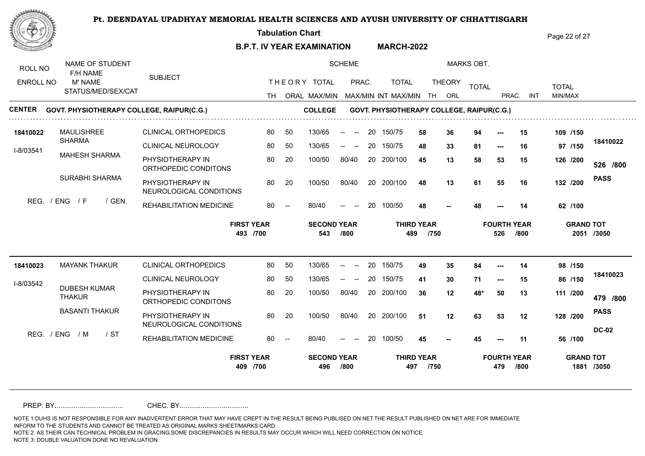**Tabulation Chart** 

**B.P.T. IV YEAR EXAMINATION MARCH-2022** Page 22 of 27

NAME OF STUDENT SCHEME MARKS OBT. ROLL NO F/H NAME SUBJECT THE ORY TOTAL PRAC. TOTAL ENROLL NO M' NAME TOTAL THEORY <sub>TOTAL</sub> TOTAL TOTAL STATUS/MED/SEX/CAT TH ORAL MAX/MIN MAX/MIN MAX/MIN INT MAX/MIN TH ORL PRAC. INT INT MIN/MAX **CENTER COLLEGE GOVT. PHYSIOTHERAPY COLLEGE, RAIPUR(C.G.) GOVT. PHYSIOTHERAPY COLLEGE, RAIPUR(C.G.)** CLINICAL ORTHOPEDICS  $130/65$  -- -- 20 150/75 MAULISHREE **18410022** 80 50 130/65 -- -- 20 150/75 58 36 \$ **/150 58 36 94 --- 15 109** SHARMA **18410022** CLINICAL NEUROLOGY 80 50 80 50 130/65 -- -- 20 150/75 **48 33** 8 **/150 48 33 81 --- 16 97** I-8/03541 MAHESH SHARMA PHYSIOTHERAPY IN 80 20 100/50 80/40 **45 13 58 53 15 126** 100/50 80/40 20 200/100 45 13 58 **/800 /200 526** ORTHOPEDIC CONDITONS SURABHI SHARMA **PASS** PHYSIOTHERAPY IN 30 20 100/50 80/40 20 200/100 48 13 61 100/50 100/50 80/40 20 200/100 48 **/200 48 13 61 55 16 132** NEUROLOGICAL CONDITIONS REG. / ENG / F / GEN. REHABILITATION MEDICINE 80/40 48 80/40 -- -- 20 100/50 **/100 48 48 --- 14 62 FIRST YEAR SECOND YEAR THIRD YEAR FOURTH YEAR GRAND TOT 493 /700 543 /800 489 /750 526 /800 2051 /3050 18410023** CLINICAL ORTHOPEDICS MAYANK THAKUR 80 50 130/65 -- -- 20 150/75 49 35 8 **/150 49 35 84 --- 14 98 18410023** CLINICAL NEUROLOGY 80 50  $130/65$  -- --130/65 -- -- 20 150/75 41 30 7 **/150 41 30 71 --- 15 86** I-8/03542 DUBESH KUMAR PHYSIOTHERAPY IN 80 20 100/50 80/40 100/50 80/40 20 200/100 36 12 48 **36 12 48\* 50 13 111 /800 /200 479** THAKUR ORTHOPEDIC CONDITONS BASANTI THAKUR **PASS** PHYSIOTHERAPY IN 30 20 100/50 80/40 20 200/100 51 12 63 100/50 **/200** 100/50 80/40 **51 12 63 53 12 128** NEUROLOGICAL CONDITIONS **DC-02** REG. / ENG / M / ST REHABILITATION MEDICINE 80 -**/100**  $80/40$ 80/40 -- -- 20 100/50 **45 45 --- 11 56 45 FIRST YEAR SECOND YEAR THIRD YEAR FOURTH YEAR GRAND TOT 409 /700 496 /800 497 /750 479 /800 1881 /3050**

PREP. BY.................................... CHEC. BY....................................

NOTE 1:DUHS IS NOT RESPONSIBLE FOR ANY INADVERTENT ERROR THAT MAY HAVE CREPT IN THE RESULT BEING PUBLISED ON NET.THE RESULT PUBLISHED ON NET ARE FOR IMMEDIATE INFORM TO THE STUDENTS AND CANNOT BE TREATED AS ORIGINAL MARKS SHEET/MARKS CARD.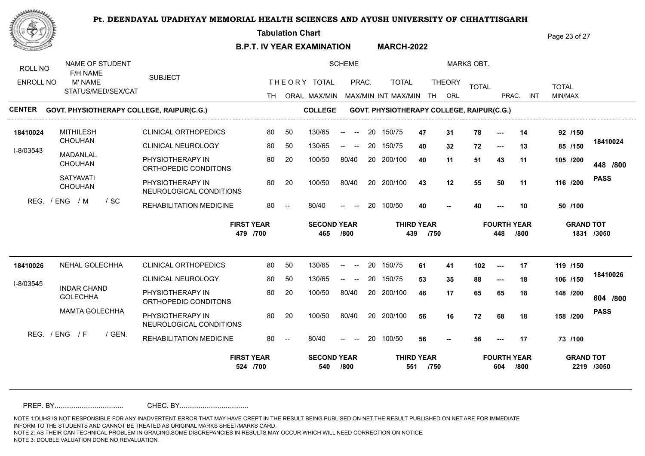**Tabulation Chart** 

**B.P.T. IV YEAR EXAMINATION MARCH-2022** Page 23 of 27

| ROLL NO          | NAME OF STUDENT<br>F/H NAME               |                                             |    |                          |                           | <b>SCHEME</b>                                              |    |                                           |                           |               | <b>MARKS OBT.</b> |                           |            |                  |             |
|------------------|-------------------------------------------|---------------------------------------------|----|--------------------------|---------------------------|------------------------------------------------------------|----|-------------------------------------------|---------------------------|---------------|-------------------|---------------------------|------------|------------------|-------------|
| <b>ENROLL NO</b> | M' NAME                                   | <b>SUBJECT</b>                              |    |                          | THEORY TOTAL              | PRAC.                                                      |    | <b>TOTAL</b>                              |                           | <b>THEORY</b> | <b>TOTAL</b>      |                           |            | <b>TOTAL</b>     |             |
|                  | STATUS/MED/SEX/CAT                        |                                             |    |                          |                           |                                                            |    | TH ORAL MAX/MIN MAX/MIN INT MAX/MIN       |                           | TH ORL        |                   | PRAC.                     | <b>INT</b> | MIN/MAX          |             |
| <b>CENTER</b>    | GOVT. PHYSIOTHERAPY COLLEGE, RAIPUR(C.G.) |                                             |    |                          | <b>COLLEGE</b>            |                                                            |    | GOVT. PHYSIOTHERAPY COLLEGE, RAIPUR(C.G.) |                           |               |                   |                           |            |                  |             |
| 18410024         | <b>MITHILESH</b>                          | <b>CLINICAL ORTHOPEDICS</b>                 | 80 | 50                       | 130/65                    | $\sim$<br>$\overline{\phantom{a}}$                         | 20 | 150/75                                    | 47                        | 31            | 78                |                           | 14         | 92 /150          |             |
| I-8/03543        | <b>CHOUHAN</b>                            | CLINICAL NEUROLOGY                          | 80 | 50                       | 130/65                    | $\hspace{0.1mm}-\hspace{0.1mm}-\hspace{0.1mm}$<br>$-$      | 20 | 150/75                                    | 40                        | 32            | 72                | $---$                     | 13         | 85 /150          | 18410024    |
|                  | <b>MADANLAL</b><br><b>CHOUHAN</b>         | PHYSIOTHERAPY IN<br>ORTHOPEDIC CONDITONS    | 80 | 20                       | 100/50                    | 80/40                                                      |    | 20 200/100                                | 40                        | 11            | 51                | 43                        | 11         | 105 /200         | 448 /800    |
|                  | <b>SATYAVATI</b><br><b>CHOUHAN</b>        | PHYSIOTHERAPY IN<br>NEUROLOGICAL CONDITIONS | 80 | 20                       | 100/50                    | 80/40                                                      |    | 20 200/100                                | 43                        | 12            | 55                | 50                        | 11         | 116 /200         | <b>PASS</b> |
| REG.             | / ENG<br>/ M<br>$/$ SC                    | <b>REHABILITATION MEDICINE</b>              | 80 | $\overline{\phantom{a}}$ | 80/40                     | $\overline{\phantom{a}}$                                   | 20 | 100/50                                    | 40                        |               | 40                |                           | 10         | 50 /100          |             |
|                  |                                           |                                             |    |                          |                           |                                                            |    |                                           |                           |               |                   |                           |            |                  |             |
|                  |                                           | <b>FIRST YEAR</b><br>479 /700               |    |                          | <b>SECOND YEAR</b><br>465 | /800                                                       |    | 439                                       | <b>THIRD YEAR</b><br>/750 |               |                   | <b>FOURTH YEAR</b><br>448 | /800       | <b>GRAND TOT</b> | 1831 /3050  |
| 18410026         | NEHAL GOLECHHA                            | <b>CLINICAL ORTHOPEDICS</b>                 | 80 | 50                       | 130/65                    | $\overline{\phantom{a}}$                                   |    | 20 150/75                                 | 61                        | 41            | 102               | $---$                     | 17         | 119 /150         |             |
|                  |                                           | CLINICAL NEUROLOGY                          | 80 | 50                       | 130/65                    | $\begin{array}{ccc} -\infty & \infty & \infty \end{array}$ | 20 | 150/75                                    | 53                        | 35            | 88                | $\hspace{0.05cm} \ldots$  | 18         | 106 /150         | 18410026    |
| I-8/03545        | <b>INDAR CHAND</b><br><b>GOLECHHA</b>     | PHYSIOTHERAPY IN<br>ORTHOPEDIC CONDITONS    | 80 | 20                       | 100/50                    | 80/40                                                      |    | 20 200/100                                | 48                        | 17            | 65                | 65                        | 18         | 148 /200         | 604 /800    |
|                  | <b>MAMTA GOLECHHA</b>                     | PHYSIOTHERAPY IN<br>NEUROLOGICAL CONDITIONS | 80 | 20                       | 100/50                    | 80/40                                                      |    | 20 200/100                                | 56                        | 16            | 72                | 68                        | 18         | 158 /200         | <b>PASS</b> |
|                  | REG. / ENG / F<br>/ GEN.                  | REHABILITATION MEDICINE                     | 80 |                          | 80/40                     | $\overline{\phantom{a}}$                                   | 20 | 100/50                                    | 56                        |               | 56                |                           | 17         | 73 /100          |             |

PREP. BY.................................... CHEC. BY....................................

NOTE 1:DUHS IS NOT RESPONSIBLE FOR ANY INADVERTENT ERROR THAT MAY HAVE CREPT IN THE RESULT BEING PUBLISED ON NET.THE RESULT PUBLISHED ON NET ARE FOR IMMEDIATE INFORM TO THE STUDENTS AND CANNOT BE TREATED AS ORIGINAL MARKS SHEET/MARKS CARD.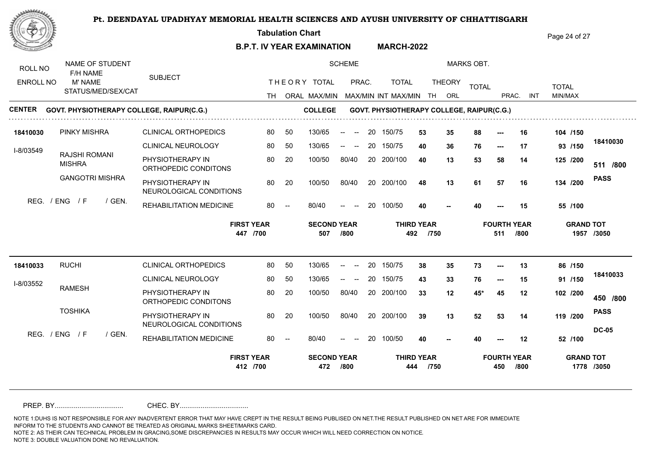**Tabulation Chart** 

**B.P.T. IV YEAR EXAMINATION MARCH-2022** Page 24 of 27

| ROLL NO          | NAME OF STUDENT<br>F/H NAME           |        |                                             |    |    |                           | <b>SCHEME</b>                                          |    |                                            |                           |               | <b>MARKS OBT.</b> |                           |      |                  |              |
|------------------|---------------------------------------|--------|---------------------------------------------|----|----|---------------------------|--------------------------------------------------------|----|--------------------------------------------|---------------------------|---------------|-------------------|---------------------------|------|------------------|--------------|
| <b>ENROLL NO</b> | M' NAME                               |        | <b>SUBJECT</b>                              |    |    | THEORY TOTAL              | PRAC.                                                  |    | <b>TOTAL</b>                               |                           | <b>THEORY</b> | <b>TOTAL</b>      |                           |      | <b>TOTAL</b>     |              |
|                  | STATUS/MED/SEX/CAT                    |        |                                             |    |    |                           |                                                        |    | TH ORAL MAX/MIN MAX/MIN INT MAX/MIN TH ORL |                           |               |                   | PRAC.                     | INT  | MIN/MAX          |              |
| <b>CENTER</b>    |                                       |        | GOVT. PHYSIOTHERAPY COLLEGE, RAIPUR(C.G.)   |    |    | <b>COLLEGE</b>            |                                                        |    | GOVT. PHYSIOTHERAPY COLLEGE, RAIPUR(C.G.)  |                           |               |                   |                           |      |                  |              |
| 18410030         | <b>PINKY MISHRA</b>                   |        | <b>CLINICAL ORTHOPEDICS</b>                 | 80 | 50 | 130/65                    | $-$<br>$\sim$                                          | 20 | 150/75                                     | 53                        | 35            | 88                |                           | 16   | 104 /150         |              |
| I-8/03549        |                                       |        | CLINICAL NEUROLOGY                          | 80 | 50 | 130/65                    | $--$<br>$- -$                                          | 20 | 150/75                                     | 40                        | 36            | 76                | $--$                      | 17   | 93 /150          | 18410030     |
|                  | <b>RAJSHI ROMANI</b><br><b>MISHRA</b> |        | PHYSIOTHERAPY IN<br>ORTHOPEDIC CONDITONS    | 80 | 20 | 100/50                    | 80/40                                                  |    | 20 200/100                                 | 40                        | 13            | 53                | 58                        | 14   | 125 /200         | 511 /800     |
|                  | <b>GANGOTRI MISHRA</b>                |        | PHYSIOTHERAPY IN<br>NEUROLOGICAL CONDITIONS | 80 | 20 | 100/50                    | 80/40                                                  |    | 20 200/100                                 | 48                        | 13            | 61                | 57                        | 16   | 134 /200         | <b>PASS</b>  |
|                  | REG. / ENG / F                        | / GEN. | REHABILITATION MEDICINE                     | 80 |    | 80/40                     |                                                        | 20 | 100/50                                     | 40                        |               | 40                |                           | 15   | 55 /100          |              |
|                  |                                       |        |                                             |    |    |                           |                                                        |    |                                            |                           |               |                   |                           |      |                  |              |
|                  |                                       |        | <b>FIRST YEAR</b><br>447 /700               |    |    | <b>SECOND YEAR</b><br>507 | /800                                                   |    | 492                                        | <b>THIRD YEAR</b><br>/750 |               |                   | <b>FOURTH YEAR</b><br>511 | /800 | <b>GRAND TOT</b> | 1957 /3050   |
| 18410033         | <b>RUCHI</b>                          |        | <b>CLINICAL ORTHOPEDICS</b>                 | 80 | 50 | 130/65                    | $\overline{\phantom{a}}$                               | 20 | 150/75                                     | 38                        | 35            | 73                |                           | 13   | 86 /150          |              |
|                  |                                       |        | <b>CLINICAL NEUROLOGY</b>                   | 80 | 50 | 130/65                    | $\hspace{0.1mm}-\hspace{0.1mm}-\hspace{0.1mm}$<br>$--$ | 20 | 150/75                                     | 43                        | 33            | 76                | ---                       | 15   | 91 /150          | 18410033     |
| I-8/03552        | <b>RAMESH</b>                         |        | PHYSIOTHERAPY IN<br>ORTHOPEDIC CONDITONS    | 80 | 20 | 100/50                    | 80/40                                                  |    | 20 200/100                                 | 33                        | 12            | 45*               | 45                        | 12   | 102 /200         | 450 /800     |
|                  | <b>TOSHIKA</b>                        |        | PHYSIOTHERAPY IN<br>NEUROLOGICAL CONDITIONS | 80 | 20 | 100/50                    | 80/40                                                  |    | 20 200/100                                 | 39                        | 13            | 52                | 53                        | 14   | 119 /200         | <b>PASS</b>  |
|                  | REG. / ENG / F                        | / GEN. | REHABILITATION MEDICINE                     | 80 |    | 80/40                     | $\overline{\phantom{a}}$                               | 20 | 100/50                                     | 40                        |               | 40                |                           | 12   | 52 /100          | <b>DC-05</b> |

PREP. BY.................................... CHEC. BY....................................

NOTE 1:DUHS IS NOT RESPONSIBLE FOR ANY INADVERTENT ERROR THAT MAY HAVE CREPT IN THE RESULT BEING PUBLISED ON NET.THE RESULT PUBLISHED ON NET ARE FOR IMMEDIATE INFORM TO THE STUDENTS AND CANNOT BE TREATED AS ORIGINAL MARKS SHEET/MARKS CARD.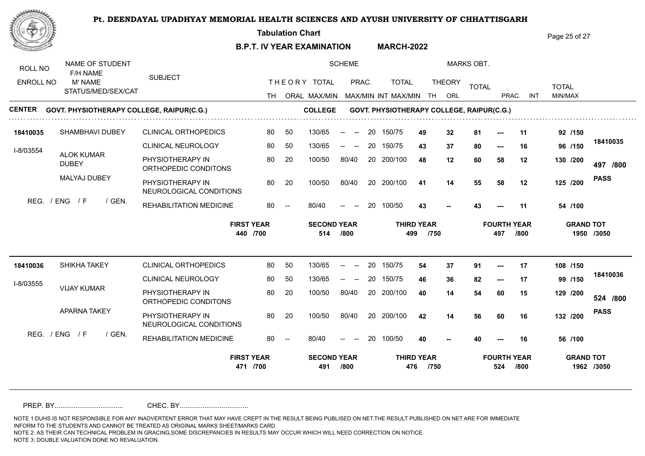**Tabulation Chart** 

**B.P.T. IV YEAR EXAMINATION MARCH-2022** Page 25 of 27

| ROLL NO          | NAME OF STUDENT<br>F/H NAME       |                                             |                               |    |                           | <b>SCHEME</b>                                              |    |                                           |                           |               | <b>MARKS OBT.</b> |                           |            |              |                                |
|------------------|-----------------------------------|---------------------------------------------|-------------------------------|----|---------------------------|------------------------------------------------------------|----|-------------------------------------------|---------------------------|---------------|-------------------|---------------------------|------------|--------------|--------------------------------|
| <b>ENROLL NO</b> | M' NAME                           | <b>SUBJECT</b>                              |                               |    | THEORY TOTAL              | PRAC.                                                      |    | <b>TOTAL</b>                              |                           | <b>THEORY</b> | <b>TOTAL</b>      |                           |            | <b>TOTAL</b> |                                |
|                  | STATUS/MED/SEX/CAT                |                                             |                               |    |                           |                                                            |    | TH ORAL MAX/MIN MAX/MIN INT MAX/MIN       |                           | TH ORL        |                   | PRAC.                     | <b>INT</b> | MIN/MAX      |                                |
| <b>CENTER</b>    |                                   | GOVT. PHYSIOTHERAPY COLLEGE, RAIPUR(C.G.)   |                               |    | <b>COLLEGE</b>            |                                                            |    | GOVT. PHYSIOTHERAPY COLLEGE, RAIPUR(C.G.) |                           |               |                   |                           |            |              |                                |
| 18410035         | SHAMBHAVI DUBEY                   | <b>CLINICAL ORTHOPEDICS</b>                 | 80                            | 50 | 130/65                    | $\sim$<br>$--$                                             | 20 | 150/75                                    | 49                        | 32            | 81                | $--$                      | 11         | 92 /150      |                                |
| I-8/03554        |                                   | CLINICAL NEUROLOGY                          | 80                            | 50 | 130/65                    | $--$<br>$\hspace{0.1mm}-\hspace{0.1mm}-\hspace{0.1mm}$     | 20 | 150/75                                    | 43                        | 37            | 80                | $--$                      | 16         | 96 /150      | 18410035                       |
|                  | <b>ALOK KUMAR</b><br><b>DUBEY</b> | PHYSIOTHERAPY IN<br>ORTHOPEDIC CONDITONS    | 80                            | 20 | 100/50                    | 80/40                                                      |    | 20 200/100                                | 48                        | 12            | 60                | 58                        | 12         | 130 /200     | 497 /800                       |
|                  | MALYAJ DUBEY                      | PHYSIOTHERAPY IN<br>NEUROLOGICAL CONDITIONS | 80                            | 20 | 100/50                    | 80/40                                                      |    | 20 200/100                                | 41                        | 14            | 55                | 58                        | 12         | 125 /200     | <b>PASS</b>                    |
| REG.             | / ENG<br>$\sqrt{F}$<br>/ GEN.     | REHABILITATION MEDICINE                     | 80                            |    | 80/40                     | $\hspace{0.05cm}$ – $\hspace{0.05cm}$                      | 20 | 100/50                                    | 43                        |               | 43                |                           | 11         | 54 /100      |                                |
|                  |                                   |                                             |                               |    |                           |                                                            |    |                                           |                           |               |                   |                           |            |              |                                |
|                  |                                   |                                             | <b>FIRST YEAR</b><br>440 /700 |    | <b>SECOND YEAR</b><br>514 | /800                                                       |    | 499                                       | <b>THIRD YEAR</b><br>/750 |               |                   | <b>FOURTH YEAR</b><br>497 | /800       |              | <b>GRAND TOT</b><br>1950 /3050 |
| 18410036         | <b>SHIKHA TAKEY</b>               | <b>CLINICAL ORTHOPEDICS</b>                 | 80                            | 50 | 130/65                    | $\overline{\phantom{a}}$                                   | 20 | 150/75                                    | 54                        | 37            | 91                | $---$                     | 17         | 108 /150     |                                |
|                  |                                   | <b>CLINICAL NEUROLOGY</b>                   | 80                            | 50 | 130/65                    | $\begin{array}{ccc} -\infty & \infty & \infty \end{array}$ | 20 | 150/75                                    | 46                        | 36            | 82                | $\hspace{0.05cm} \ldots$  | 17         | 99 /150      | 18410036                       |
| I-8/03555        | <b>VIJAY KUMAR</b>                | PHYSIOTHERAPY IN<br>ORTHOPEDIC CONDITONS    | 80                            | 20 | 100/50                    | 80/40                                                      |    | 20 200/100                                | 40                        | 14            | 54                | 60                        | 15         | 129 /200     | 524 /800                       |
|                  | <b>APARNA TAKEY</b>               | PHYSIOTHERAPY IN<br>NEUROLOGICAL CONDITIONS | 80                            | 20 | 100/50                    | 80/40                                                      |    | 20 200/100                                | 42                        | 14            | 56                | 60                        | 16         | 132 /200     | <b>PASS</b>                    |
|                  | REG. / ENG / F<br>/ GEN.          | REHABILITATION MEDICINE                     | 80                            |    | 80/40                     | $\overline{\phantom{a}}$                                   | 20 | 100/50                                    | 40                        |               | 40                |                           | 16         | 56 /100      |                                |

PREP. BY.................................... CHEC. BY....................................

NOTE 1:DUHS IS NOT RESPONSIBLE FOR ANY INADVERTENT ERROR THAT MAY HAVE CREPT IN THE RESULT BEING PUBLISED ON NET.THE RESULT PUBLISHED ON NET ARE FOR IMMEDIATE INFORM TO THE STUDENTS AND CANNOT BE TREATED AS ORIGINAL MARKS SHEET/MARKS CARD.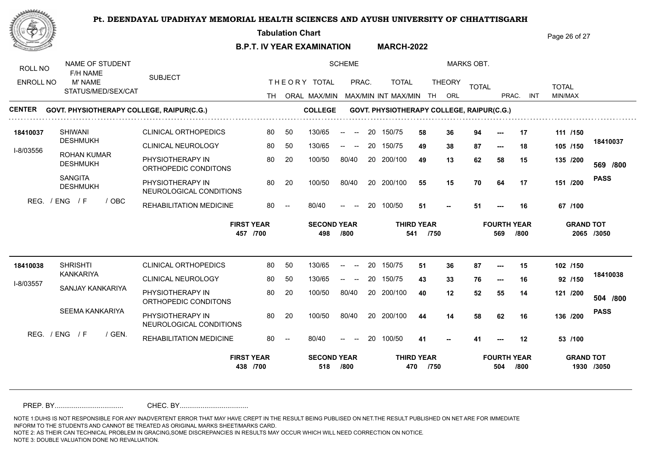**Tabulation Chart** 

**B.P.T. IV YEAR EXAMINATION MARCH-2022** Page 26 of 27

| ROLL NO          | NAME OF STUDENT<br>F/H NAME           |                    |                                             |          |    |                           | <b>SCHEME</b>                                         |    |                                           |                           |               | <b>MARKS OBT.</b> |                           |            |              |                  |             |
|------------------|---------------------------------------|--------------------|---------------------------------------------|----------|----|---------------------------|-------------------------------------------------------|----|-------------------------------------------|---------------------------|---------------|-------------------|---------------------------|------------|--------------|------------------|-------------|
| <b>ENROLL NO</b> | M' NAME                               |                    | <b>SUBJECT</b>                              |          |    | THEORY TOTAL              | PRAC.                                                 |    | <b>TOTAL</b>                              |                           | <b>THEORY</b> | <b>TOTAL</b>      |                           |            | <b>TOTAL</b> |                  |             |
|                  |                                       | STATUS/MED/SEX/CAT |                                             |          |    |                           |                                                       |    | TH ORAL MAX/MIN MAX/MIN INT MAX/MIN       | TH                        | ORL           |                   | PRAC.                     | <b>INT</b> | MIN/MAX      |                  |             |
| <b>CENTER</b>    |                                       |                    | GOVT. PHYSIOTHERAPY COLLEGE, RAIPUR(C.G.)   |          |    | <b>COLLEGE</b>            |                                                       |    | GOVT. PHYSIOTHERAPY COLLEGE, RAIPUR(C.G.) |                           |               |                   |                           |            |              |                  |             |
| 18410037         | <b>SHIWANI</b>                        |                    | <b>CLINICAL ORTHOPEDICS</b>                 | 80       | 50 | 130/65                    | $\sim$<br>$--$                                        | 20 | 150/75                                    | 58                        | 36            | 94                |                           | 17         | 111 /150     |                  |             |
| I-8/03556        | <b>DESHMUKH</b>                       |                    | CLINICAL NEUROLOGY                          | 80       | 50 | 130/65                    | $-$<br>$\hspace{0.1mm}-\hspace{0.1mm}-\hspace{0.1mm}$ | 20 | 150/75                                    | 49                        | 38            | 87                | $--$                      | 18         | 105 /150     |                  | 18410037    |
|                  | <b>ROHAN KUMAR</b><br><b>DESHMUKH</b> |                    | PHYSIOTHERAPY IN<br>ORTHOPEDIC CONDITONS    | 80       | 20 | 100/50                    | 80/40                                                 |    | 20 200/100                                | 49                        | 13            | 62                | 58                        | 15         | 135 /200     |                  | 569 /800    |
|                  | <b>SANGITA</b><br><b>DESHMUKH</b>     |                    | PHYSIOTHERAPY IN<br>NEUROLOGICAL CONDITIONS | 80       | 20 | 100/50                    | 80/40                                                 |    | 20 200/100                                | 55                        | 15            | 70                | 64                        | 17         | 151 /200     |                  | <b>PASS</b> |
| REG.             | / ENG<br>$\sqrt{F}$                   | / OBC              | REHABILITATION MEDICINE                     | 80       |    | 80/40                     | $\hspace{0.1mm}-\hspace{0.1mm}-\hspace{0.1mm}$        | 20 | 100/50                                    | 51                        |               | 51                |                           | 16         | 67 /100      |                  |             |
|                  |                                       |                    |                                             |          |    |                           |                                                       |    |                                           |                           |               |                   |                           |            |              |                  |             |
|                  |                                       |                    | <b>FIRST YEAR</b>                           | 457 /700 |    | <b>SECOND YEAR</b><br>498 | /800                                                  |    | 541                                       | <b>THIRD YEAR</b><br>/750 |               |                   | <b>FOURTH YEAR</b><br>569 | /800       |              | <b>GRAND TOT</b> | 2065 /3050  |
| 18410038         | <b>SHRISHTI</b>                       |                    | <b>CLINICAL ORTHOPEDICS</b>                 | 80       | 50 | 130/65                    | $\overline{\phantom{a}}$                              | 20 | 150/75                                    | 51                        | 36            | 87                | ---                       | 15         | 102 /150     |                  |             |
|                  | <b>KANKARIYA</b>                      |                    | <b>CLINICAL NEUROLOGY</b>                   | 80       | 50 | 130/65                    | $\sim$ $-$<br>$- -$                                   | 20 | 150/75                                    | 43                        | 33            | 76                | $\hspace{0.05cm} \ldots$  | 16         | 92 /150      |                  | 18410038    |
| I-8/03557        | SANJAY KANKARIYA                      |                    | PHYSIOTHERAPY IN<br>ORTHOPEDIC CONDITONS    | 80       | 20 | 100/50                    | 80/40                                                 |    | 20 200/100                                | 40                        | 12            | 52                | 55                        | 14         | 121 /200     |                  | 504 /800    |
|                  | SEEMA KANKARIYA                       |                    | PHYSIOTHERAPY IN<br>NEUROLOGICAL CONDITIONS | 80       | 20 | 100/50                    | 80/40                                                 |    | 20 200/100                                | 44                        | 14            | 58                | 62                        | 16         | 136 /200     |                  | <b>PASS</b> |
|                  | REG. / ENG / F                        | / GEN.             | REHABILITATION MEDICINE                     | 80       |    | 80/40                     | $\overline{\phantom{a}}$                              | 20 | 100/50                                    | 41                        |               | 41                |                           | 12         | 53 /100      |                  |             |

PREP. BY.................................... CHEC. BY....................................

NOTE 1:DUHS IS NOT RESPONSIBLE FOR ANY INADVERTENT ERROR THAT MAY HAVE CREPT IN THE RESULT BEING PUBLISED ON NET.THE RESULT PUBLISHED ON NET ARE FOR IMMEDIATE INFORM TO THE STUDENTS AND CANNOT BE TREATED AS ORIGINAL MARKS SHEET/MARKS CARD.